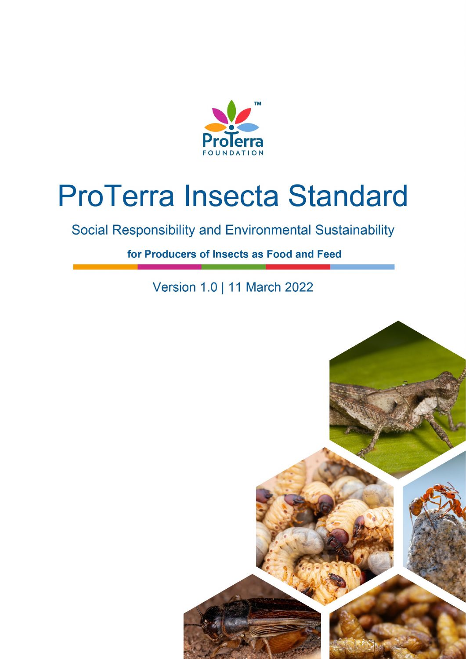

# **ProTerra Insecta Standard**

Social Responsibility and Environmental Sustainability

for Producers of Insects as Food and Feed

Version 1.0 | 11 March 2022

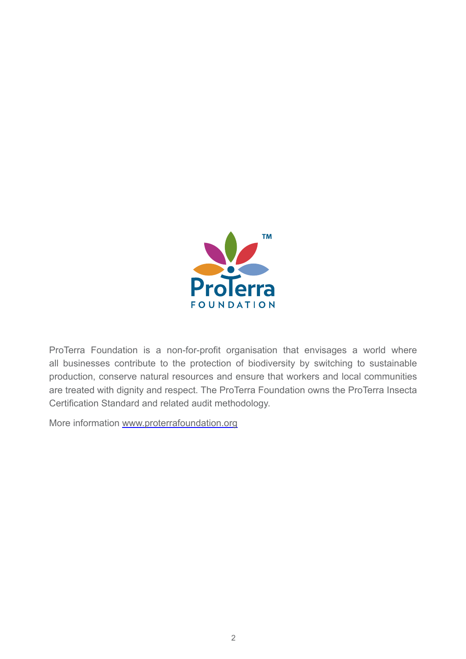

ProTerra Foundation is a non-for-profit organisation that envisages a world where all businesses contribute to the protection of biodiversity by switching to sustainable production, conserve natural resources and ensure that workers and local communities are treated with dignity and respect. The ProTerra Foundation owns the ProTerra Insecta Certification Standard and related audit methodology.

More information [www.proterrafoundation.org](http://www.proterrafoundation.org)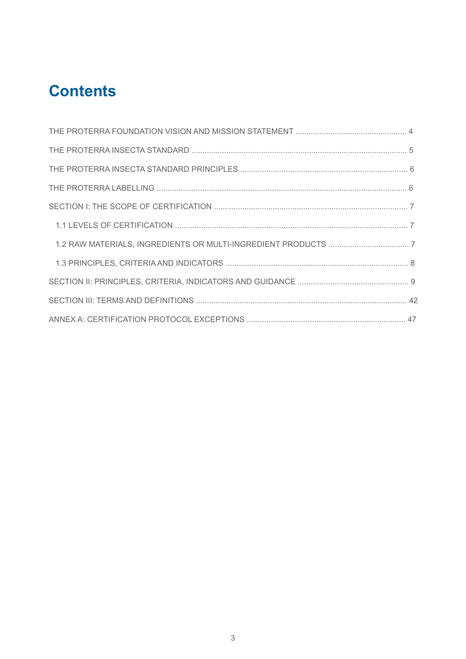# **Contents**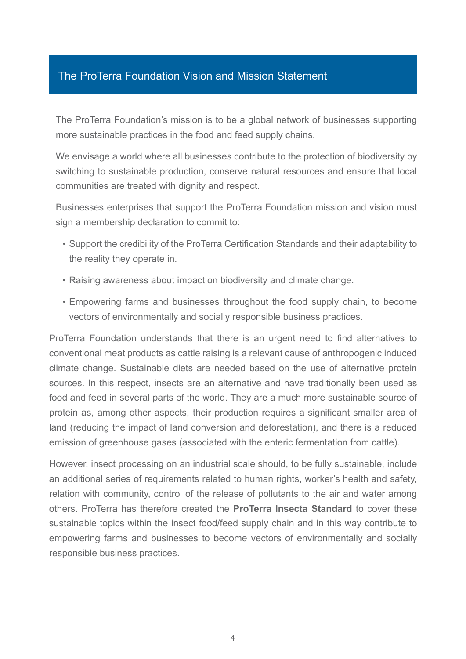# The ProTerra Foundation Vision and Mission Statement

The ProTerra Foundation's mission is to be a global network of businesses supporting more sustainable practices in the food and feed supply chains.

We envisage a world where all businesses contribute to the protection of biodiversity by switching to sustainable production, conserve natural resources and ensure that local communities are treated with dignity and respect.

Businesses enterprises that support the ProTerra Foundation mission and vision must sign a membership declaration to commit to:

- Support the credibility of the ProTerra Certification Standards and their adaptability to the reality they operate in.
- Raising awareness about impact on biodiversity and climate change.
- Empowering farms and businesses throughout the food supply chain, to become vectors of environmentally and socially responsible business practices.

ProTerra Foundation understands that there is an urgent need to find alternatives to conventional meat products as cattle raising is a relevant cause of anthropogenic induced climate change. Sustainable diets are needed based on the use of alternative protein sources. In this respect, insects are an alternative and have traditionally been used as food and feed in several parts of the world. They are a much more sustainable source of protein as, among other aspects, their production requires a significant smaller area of land (reducing the impact of land conversion and deforestation), and there is a reduced emission of greenhouse gases (associated with the enteric fermentation from cattle).

However, insect processing on an industrial scale should, to be fully sustainable, include an additional series of requirements related to human rights, worker's health and safety, relation with community, control of the release of pollutants to the air and water among others. ProTerra has therefore created the **ProTerra Insecta Standard** to cover these sustainable topics within the insect food/feed supply chain and in this way contribute to empowering farms and businesses to become vectors of environmentally and socially responsible business practices.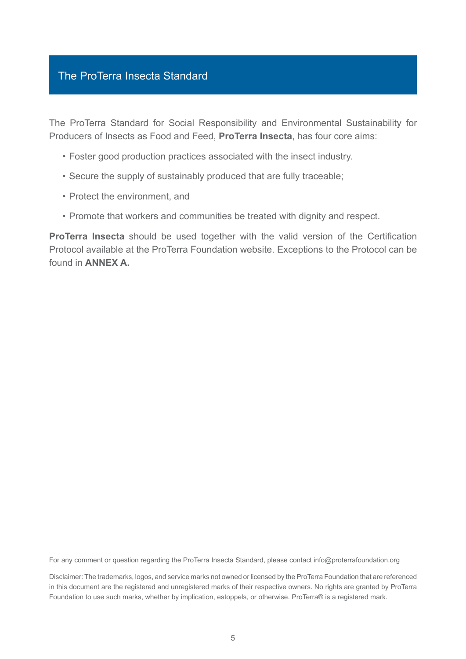# The ProTerra Insecta Standard

The ProTerra Standard for Social Responsibility and Environmental Sustainability for Producers of Insects as Food and Feed, **ProTerra Insecta**, has four core aims:

- Foster good production practices associated with the insect industry.
- Secure the supply of sustainably produced that are fully traceable;
- Protect the environment, and
- Promote that workers and communities be treated with dignity and respect.

**ProTerra Insecta** should be used together with the valid version of the Certification Protocol available at the ProTerra Foundation website. Exceptions to the Protocol can be found in **ANNEX A.** 

For any comment or question regarding the ProTerra Insecta Standard, please contact info@proterrafoundation.org

Disclaimer: The trademarks, logos, and service marks not owned or licensed by the ProTerra Foundation that are referenced in this document are the registered and unregistered marks of their respective owners. No rights are granted by ProTerra Foundation to use such marks, whether by implication, estoppels, or otherwise. ProTerra® is a registered mark.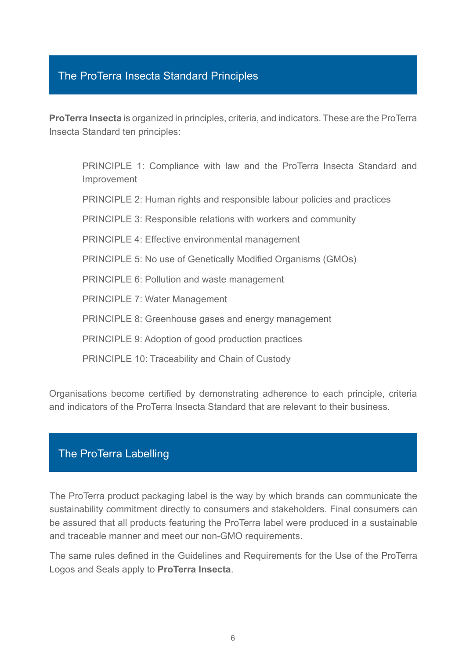# The ProTerra Insecta Standard Principles

**ProTerra Insecta** is organized in principles, criteria, and indicators. These are the ProTerra Insecta Standard ten principles:

PRINCIPLE 1: Compliance with law and the ProTerra Insecta Standard and Improvement

PRINCIPLE 2: Human rights and responsible labour policies and practices

PRINCIPLE 3: Responsible relations with workers and community

PRINCIPLE 4: Effective environmental management

PRINCIPLE 5: No use of Genetically Modified Organisms (GMOs)

PRINCIPLE 6: Pollution and waste management

PRINCIPLE 7: Water Management

PRINCIPLE 8: Greenhouse gases and energy management

PRINCIPLE 9: Adoption of good production practices

PRINCIPLE 10: Traceability and Chain of Custody

Organisations become certified by demonstrating adherence to each principle, criteria and indicators of the ProTerra Insecta Standard that are relevant to their business.

# The ProTerra Labelling

The ProTerra product packaging label is the way by which brands can communicate the sustainability commitment directly to consumers and stakeholders. Final consumers can be assured that all products featuring the ProTerra label were produced in a sustainable and traceable manner and meet our non-GMO requirements.

The same rules defined in the Guidelines and Requirements for the Use of the ProTerra Logos and Seals apply to **ProTerra Insecta**.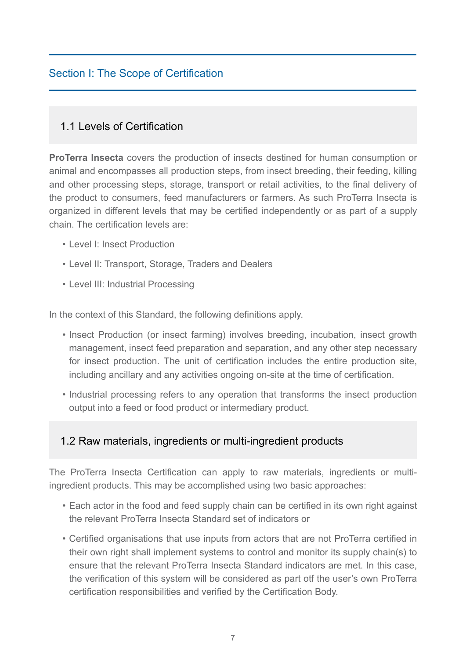# Section I: The Scope of Certification

# 1.1 Levels of Certification

**ProTerra Insecta** covers the production of insects destined for human consumption or animal and encompasses all production steps, from insect breeding, their feeding, killing and other processing steps, storage, transport or retail activities, to the final delivery of the product to consumers, feed manufacturers or farmers. As such ProTerra Insecta is organized in different levels that may be certified independently or as part of a supply chain. The certification levels are:

- Level I: Insect Production
- Level II: Transport, Storage, Traders and Dealers
- Level III: Industrial Processing

In the context of this Standard, the following definitions apply.

- Insect Production (or insect farming) involves breeding, incubation, insect growth management, insect feed preparation and separation, and any other step necessary for insect production. The unit of certification includes the entire production site, including ancillary and any activities ongoing on-site at the time of certification.
- Industrial processing refers to any operation that transforms the insect production output into a feed or food product or intermediary product.

# 1.2 Raw materials, ingredients or multi-ingredient products

The ProTerra Insecta Certification can apply to raw materials, ingredients or multiingredient products. This may be accomplished using two basic approaches:

- Each actor in the food and feed supply chain can be certified in its own right against the relevant ProTerra Insecta Standard set of indicators or
- Certified organisations that use inputs from actors that are not ProTerra certified in their own right shall implement systems to control and monitor its supply chain(s) to ensure that the relevant ProTerra Insecta Standard indicators are met. In this case, the verification of this system will be considered as part otf the user's own ProTerra certification responsibilities and verified by the Certification Body.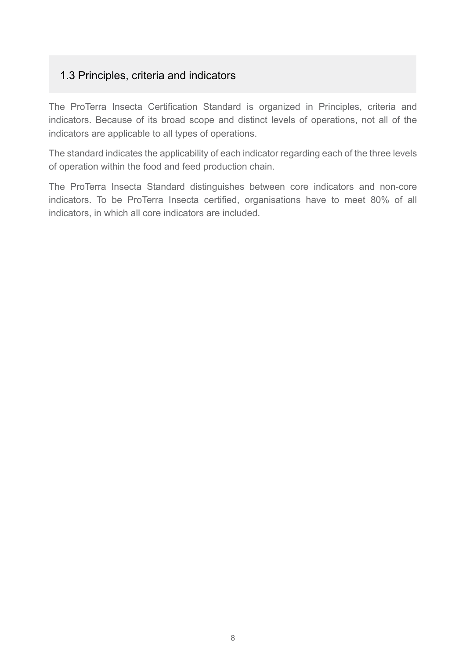# 1.3 Principles, criteria and indicators

The ProTerra Insecta Certification Standard is organized in Principles, criteria and indicators. Because of its broad scope and distinct levels of operations, not all of the indicators are applicable to all types of operations.

The standard indicates the applicability of each indicator regarding each of the three levels of operation within the food and feed production chain.

The ProTerra Insecta Standard distinguishes between core indicators and non-core indicators. To be ProTerra Insecta certified, organisations have to meet 80% of all indicators, in which all core indicators are included.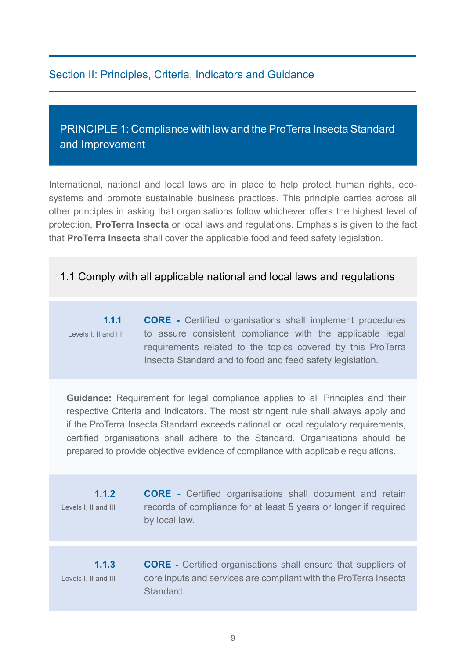# Section II: Principles, Criteria, Indicators and Guidance

# PRINCIPLE 1: Compliance with law and the ProTerra Insecta Standard and Improvement

International, national and local laws are in place to help protect human rights, ecosystems and promote sustainable business practices. This principle carries across all other principles in asking that organisations follow whichever offers the highest level of protection, **ProTerra Insecta** or local laws and regulations. Emphasis is given to the fact that **ProTerra Insecta** shall cover the applicable food and feed safety legislation.

# 1.1 Comply with all applicable national and local laws and regulations

**1.1.1** Levels I, II and III **CORE -** Certified organisations shall implement procedures to assure consistent compliance with the applicable legal requirements related to the topics covered by this ProTerra Insecta Standard and to food and feed safety legislation.

**Guidance:** Requirement for legal compliance applies to all Principles and their respective Criteria and Indicators. The most stringent rule shall always apply and if the ProTerra Insecta Standard exceeds national or local regulatory requirements, certified organisations shall adhere to the Standard. Organisations should be prepared to provide objective evidence of compliance with applicable regulations.

**1.1.2** Levels I, II and III **CORE -** Certified organisations shall document and retain records of compliance for at least 5 years or longer if required by local law.

**1.1.3** Levels I, II and III

**CORE -** Certified organisations shall ensure that suppliers of core inputs and services are compliant with the ProTerra Insecta Standard.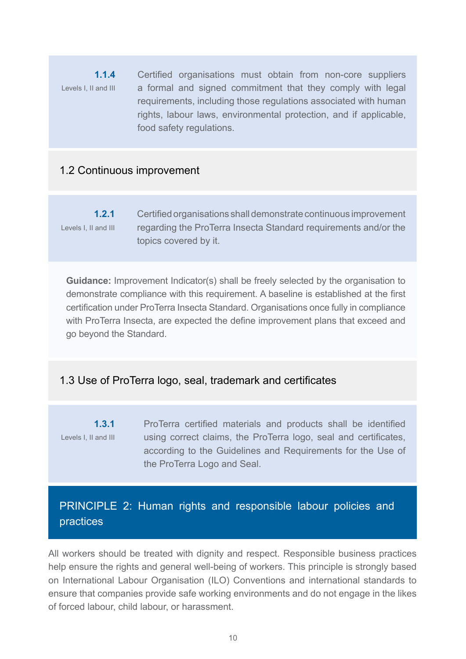**1.1.4** Levels I, II and III Certified organisations must obtain from non-core suppliers a formal and signed commitment that they comply with legal requirements, including those regulations associated with human rights, labour laws, environmental protection, and if applicable, food safety regulations.

# 1.2 Continuous improvement

**1.2.1** Levels I, II and III Certified organisations shall demonstrate continuous improvement regarding the ProTerra Insecta Standard requirements and/or the topics covered by it.

**Guidance:** Improvement Indicator(s) shall be freely selected by the organisation to demonstrate compliance with this requirement. A baseline is established at the first certification under ProTerra Insecta Standard. Organisations once fully in compliance with ProTerra Insecta, are expected the define improvement plans that exceed and go beyond the Standard.

# 1.3 Use of ProTerra logo, seal, trademark and certificates

**1.3.1** Levels I, II and III ProTerra certified materials and products shall be identified using correct claims, the ProTerra logo, seal and certificates, according to the Guidelines and Requirements for the Use of the ProTerra Logo and Seal.

# PRINCIPLE 2: Human rights and responsible labour policies and practices

All workers should be treated with dignity and respect. Responsible business practices help ensure the rights and general well-being of workers. This principle is strongly based on International Labour Organisation (ILO) Conventions and international standards to ensure that companies provide safe working environments and do not engage in the likes of forced labour, child labour, or harassment.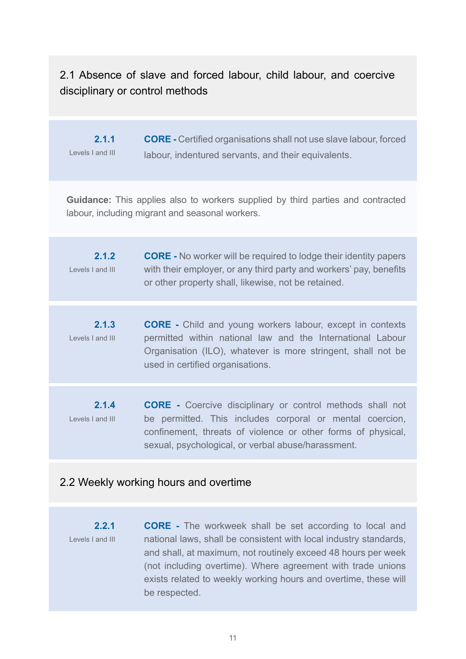# 2.1 Absence of slave and forced labour, child labour, and coercive disciplinary or control methods

**2.1.1** Levels I and III **CORE -** Certified organisations shall not use slave labour, forced labour, indentured servants, and their equivalents.

**Guidance:** This applies also to workers supplied by third parties and contracted labour, including migrant and seasonal workers.

- **2.1.2** Levels I and III **CORE -** No worker will be required to lodge their identity papers with their employer, or any third party and workers' pay, benefits or other property shall, likewise, not be retained.
- **2.1.3** Levels I and III **CORE -** Child and young workers labour, except in contexts permitted within national law and the International Labour Organisation (ILO), whatever is more stringent, shall not be used in certified organisations.
- **2.1.4** Levels I and III **CORE -** Coercive disciplinary or control methods shall not be permitted. This includes corporal or mental coercion, confinement, threats of violence or other forms of physical, sexual, psychological, or verbal abuse/harassment.

#### 2.2 Weekly working hours and overtime

**2.2.1** Levels I and III **CORE -** The workweek shall be set according to local and national laws, shall be consistent with local industry standards, and shall, at maximum, not routinely exceed 48 hours per week (not including overtime). Where agreement with trade unions exists related to weekly working hours and overtime, these will be respected.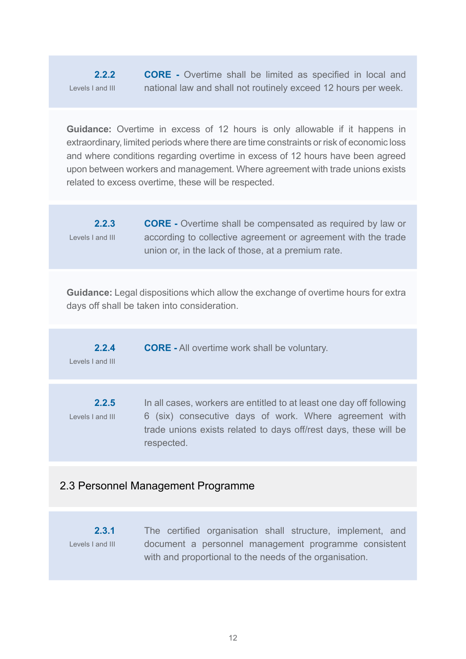**2.2.2** Levels I and III **CORE -** Overtime shall be limited as specified in local and national law and shall not routinely exceed 12 hours per week.

**Guidance:** Overtime in excess of 12 hours is only allowable if it happens in extraordinary, limited periods where there are time constraints or risk of economic loss and where conditions regarding overtime in excess of 12 hours have been agreed upon between workers and management. Where agreement with trade unions exists related to excess overtime, these will be respected.

**2.2.3** Levels I and III **CORE -** Overtime shall be compensated as required by law or according to collective agreement or agreement with the trade union or, in the lack of those, at a premium rate.

**Guidance:** Legal dispositions which allow the exchange of overtime hours for extra days off shall be taken into consideration.

| 2.2.4            | <b>CORE</b> - All overtime work shall be voluntary. |
|------------------|-----------------------------------------------------|
| Levels I and III |                                                     |

**2.2.5** Levels I and III In all cases, workers are entitled to at least one day off following 6 (six) consecutive days of work. Where agreement with trade unions exists related to days off/rest days, these will be respected.

# 2.3 Personnel Management Programme

**2.3.1** Levels I and III The certified organisation shall structure, implement, and document a personnel management programme consistent with and proportional to the needs of the organisation.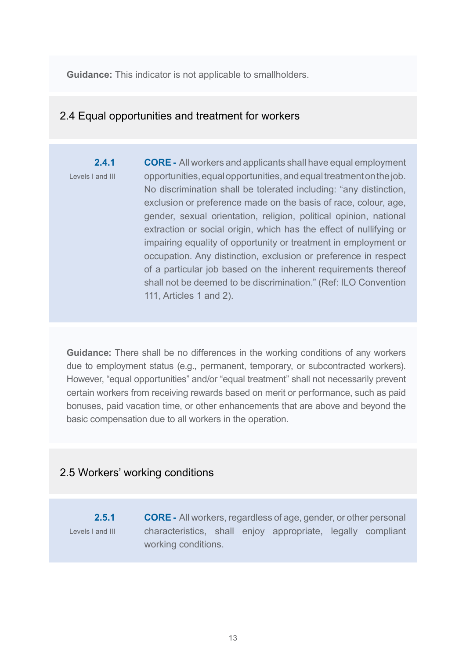**Guidance:** This indicator is not applicable to smallholders.

# 2.4 Equal opportunities and treatment for workers

**2.4.1** Levels I and III **CORE -** All workers and applicants shall have equal employment opportunities, equal opportunities, and equal treatment on the job. No discrimination shall be tolerated including: "any distinction, exclusion or preference made on the basis of race, colour, age, gender, sexual orientation, religion, political opinion, national extraction or social origin, which has the effect of nullifying or impairing equality of opportunity or treatment in employment or occupation. Any distinction, exclusion or preference in respect of a particular job based on the inherent requirements thereof shall not be deemed to be discrimination." (Ref: ILO Convention 111, Articles 1 and 2).

**Guidance:** There shall be no differences in the working conditions of any workers due to employment status (e.g., permanent, temporary, or subcontracted workers). However, "equal opportunities" and/or "equal treatment" shall not necessarily prevent certain workers from receiving rewards based on merit or performance, such as paid bonuses, paid vacation time, or other enhancements that are above and beyond the basic compensation due to all workers in the operation.

#### 2.5 Workers' working conditions

**2.5.1** Levels I and III **CORE -** All workers, regardless of age, gender, or other personal characteristics, shall enjoy appropriate, legally compliant working conditions.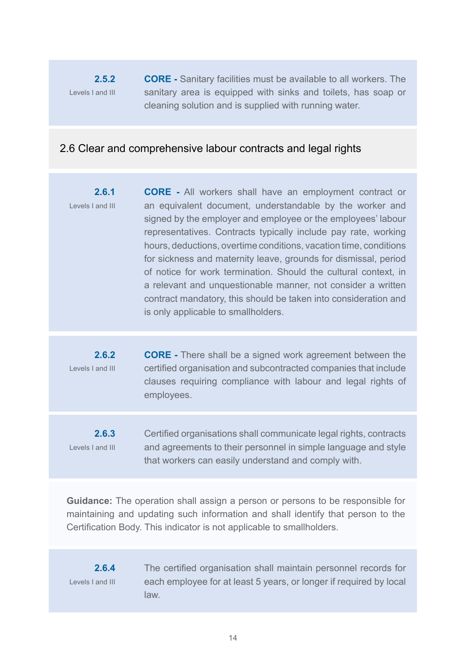#### **2.5.2**  Levels I and III **CORE -** Sanitary facilities must be available to all workers. The sanitary area is equipped with sinks and toilets, has soap or cleaning solution and is supplied with running water.

# 2.6 Clear and comprehensive labour contracts and legal rights

**2.6.1** Levels I and III **CORE -** All workers shall have an employment contract or an equivalent document, understandable by the worker and signed by the employer and employee or the employees' labour representatives. Contracts typically include pay rate, working hours, deductions, overtime conditions, vacation time, conditions for sickness and maternity leave, grounds for dismissal, period of notice for work termination. Should the cultural context, in a relevant and unquestionable manner, not consider a written contract mandatory, this should be taken into consideration and is only applicable to smallholders.

**2.6.2** Levels I and III **CORE -** There shall be a signed work agreement between the certified organisation and subcontracted companies that include clauses requiring compliance with labour and legal rights of employees.

**2.6.3** Levels I and III Certified organisations shall communicate legal rights, contracts and agreements to their personnel in simple language and style that workers can easily understand and comply with.

**Guidance:** The operation shall assign a person or persons to be responsible for maintaining and updating such information and shall identify that person to the Certification Body. This indicator is not applicable to smallholders.

#### **2.6.4** Levels I and III

The certified organisation shall maintain personnel records for each employee for at least 5 years, or longer if required by local law.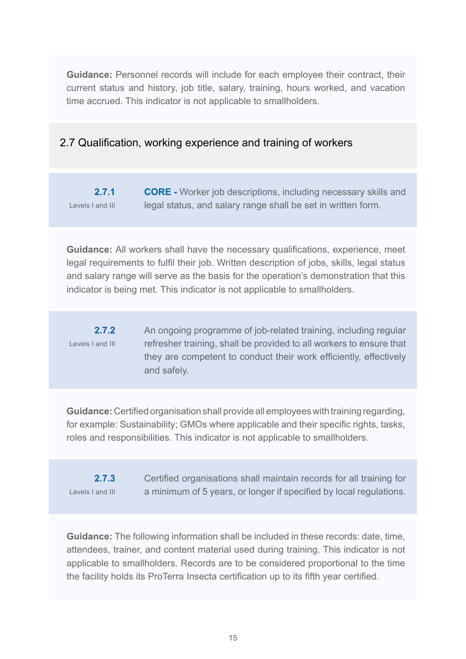**Guidance:** Personnel records will include for each employee their contract, their current status and history, job title, salary, training, hours worked, and vacation time accrued. This indicator is not applicable to smallholders.

# 2.7 Qualification, working experience and training of workers

**2.7.1** Levels I and III **CORE -** Worker job descriptions, including necessary skills and legal status, and salary range shall be set in written form.

**Guidance:** All workers shall have the necessary qualifications, experience, meet legal requirements to fulfil their job. Written description of jobs, skills, legal status and salary range will serve as the basis for the operation's demonstration that this indicator is being met. This indicator is not applicable to smallholders.

**2.7.2** Levels I and III An ongoing programme of job-related training, including regular refresher training, shall be provided to all workers to ensure that they are competent to conduct their work efficiently, effectively and safely.

**Guidance:** Certified organisation shall provide all employees with training regarding, for example: Sustainability; GMOs where applicable and their specific rights, tasks, roles and responsibilities. This indicator is not applicable to smallholders.

**2.7.3** Levels I and III Certified organisations shall maintain records for all training for a minimum of 5 years, or longer if specified by local regulations.

**Guidance:** The following information shall be included in these records: date, time, attendees, trainer, and content material used during training. This indicator is not applicable to smallholders. Records are to be considered proportional to the time the facility holds its ProTerra Insecta certification up to its fifth year certified.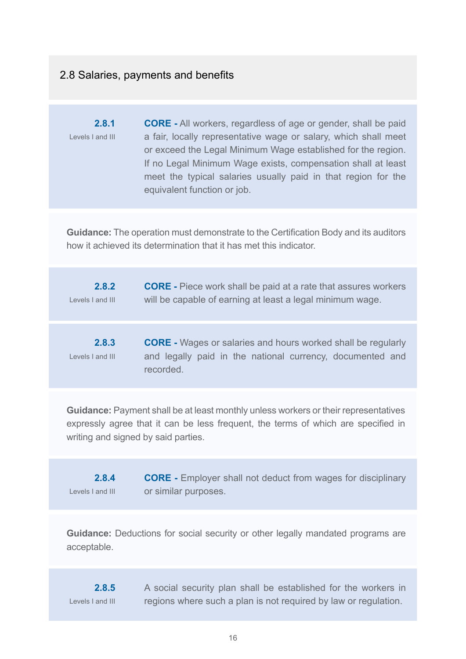# 2.8 Salaries, payments and benefits

**2.8.1** Levels I and III **CORE -** All workers, regardless of age or gender, shall be paid a fair, locally representative wage or salary, which shall meet or exceed the Legal Minimum Wage established for the region. If no Legal Minimum Wage exists, compensation shall at least meet the typical salaries usually paid in that region for the equivalent function or job.

**Guidance:** The operation must demonstrate to the Certification Body and its auditors how it achieved its determination that it has met this indicator.

| 2.8.2<br>Levels I and III | <b>CORE</b> - Piece work shall be paid at a rate that assures workers<br>will be capable of earning at least a legal minimum wage.            |
|---------------------------|-----------------------------------------------------------------------------------------------------------------------------------------------|
|                           |                                                                                                                                               |
| 2.8.3<br>Levels I and III | <b>CORE</b> - Wages or salaries and hours worked shall be regularly<br>and legally paid in the national currency, documented and<br>recorded. |

**Guidance:** Payment shall be at least monthly unless workers or their representatives expressly agree that it can be less frequent, the terms of which are specified in writing and signed by said parties.

**2.8.4** Levels I and III **CORE -** Employer shall not deduct from wages for disciplinary or similar purposes.

**Guidance:** Deductions for social security or other legally mandated programs are acceptable.

**2.8.5** Levels I and III A social security plan shall be established for the workers in regions where such a plan is not required by law or regulation.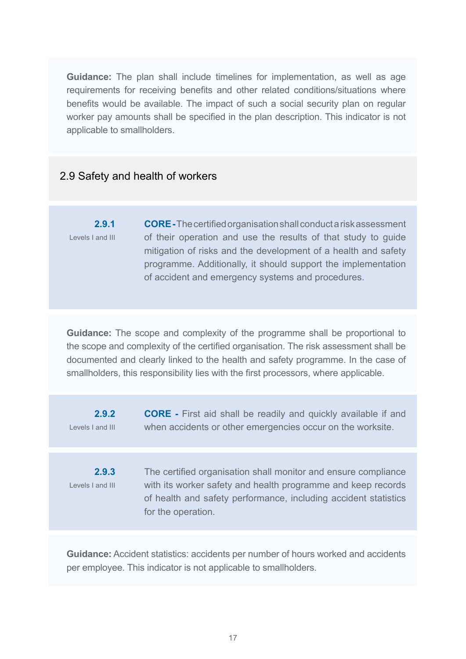**Guidance:** The plan shall include timelines for implementation, as well as age requirements for receiving benefits and other related conditions/situations where benefits would be available. The impact of such a social security plan on regular worker pay amounts shall be specified in the plan description. This indicator is not applicable to smallholders.

# 2.9 Safety and health of workers

**2.9.1** Levels I and III **CORE -**The certified organisation shall conduct a risk assessment of their operation and use the results of that study to guide mitigation of risks and the development of a health and safety programme. Additionally, it should support the implementation of accident and emergency systems and procedures.

**Guidance:** The scope and complexity of the programme shall be proportional to the scope and complexity of the certified organisation. The risk assessment shall be documented and clearly linked to the health and safety programme. In the case of smallholders, this responsibility lies with the first processors, where applicable.

| 2.9.2<br>Levels I and III | <b>CORE</b> - First aid shall be readily and quickly available if and<br>when accidents or other emergencies occur on the worksite.                                                                                     |
|---------------------------|-------------------------------------------------------------------------------------------------------------------------------------------------------------------------------------------------------------------------|
|                           |                                                                                                                                                                                                                         |
| 2.9.3<br>Levels I and III | The certified organisation shall monitor and ensure compliance<br>with its worker safety and health programme and keep records<br>of health and safety performance, including accident statistics<br>for the operation. |

**Guidance:** Accident statistics: accidents per number of hours worked and accidents per employee. This indicator is not applicable to smallholders.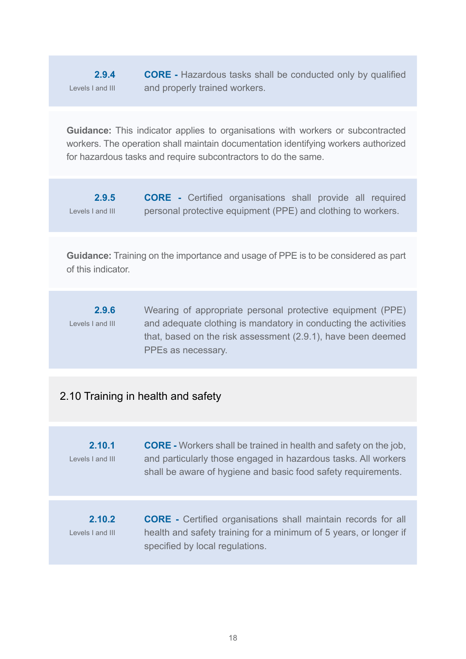**2.9.4** Levels I and III **CORE -** Hazardous tasks shall be conducted only by qualified and properly trained workers.

**Guidance:** This indicator applies to organisations with workers or subcontracted workers. The operation shall maintain documentation identifying workers authorized for hazardous tasks and require subcontractors to do the same.

**2.9.5** Levels I and III **CORE -** Certified organisations shall provide all required personal protective equipment (PPE) and clothing to workers.

**Guidance:** Training on the importance and usage of PPE is to be considered as part of this indicator.

**2.9.6** Levels I and III Wearing of appropriate personal protective equipment (PPE) and adequate clothing is mandatory in conducting the activities that, based on the risk assessment (2.9.1), have been deemed PPEs as necessary.

# 2.10 Training in health and safety

**2.10.1** Levels I and III **CORE -** Workers shall be trained in health and safety on the job, and particularly those engaged in hazardous tasks. All workers shall be aware of hygiene and basic food safety requirements.

**2.10.2** Levels I and III **CORE -** Certified organisations shall maintain records for all health and safety training for a minimum of 5 years, or longer if specified by local regulations.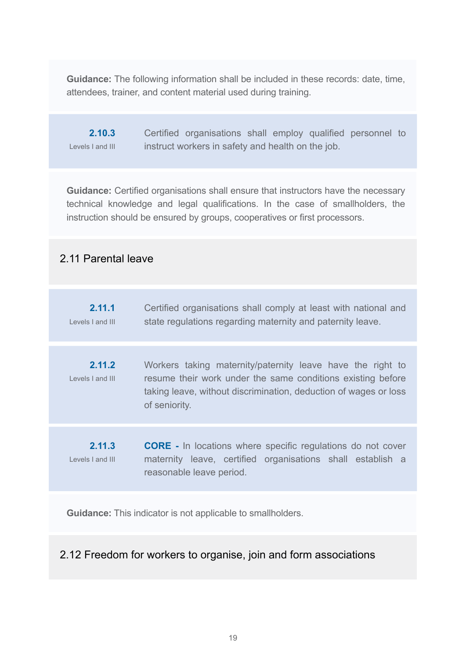**Guidance:** The following information shall be included in these records: date, time, attendees, trainer, and content material used during training.

**2.10.3** Levels I and III Certified organisations shall employ qualified personnel to instruct workers in safety and health on the job.

**Guidance:** Certified organisations shall ensure that instructors have the necessary technical knowledge and legal qualifications. In the case of smallholders, the instruction should be ensured by groups, cooperatives or first processors.

# 2.11 Parental leave

| state regulations regarding maternity and paternity leave.<br>Levels I and III                                                                                                                                                              |  |
|---------------------------------------------------------------------------------------------------------------------------------------------------------------------------------------------------------------------------------------------|--|
| 2.11.2<br>Workers taking maternity/paternity leave have the right to<br>resume their work under the same conditions existing before<br>Levels Land III<br>taking leave, without discrimination, deduction of wages or loss<br>of seniority. |  |
| 2.11.3<br><b>CORE</b> - In locations where specific regulations do not cover<br>maternity leave, certified organisations shall establish a<br>Levels I and III<br>reasonable leave period.                                                  |  |

**Guidance:** This indicator is not applicable to smallholders.

# 2.12 Freedom for workers to organise, join and form associations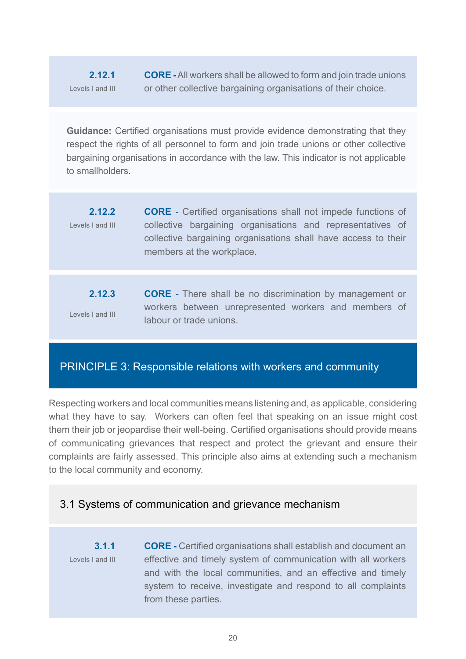#### **2.12.1**  Levels I and III

**CORE -**All workers shall be allowed to form and join trade unions or other collective bargaining organisations of their choice.

**Guidance:** Certified organisations must provide evidence demonstrating that they respect the rights of all personnel to form and join trade unions or other collective bargaining organisations in accordance with the law. This indicator is not applicable to smallholders.

- **2.12.2**  Levels I and III **CORE -** Certified organisations shall not impede functions of collective bargaining organisations and representatives of collective bargaining organisations shall have access to their members at the workplace.
- **2.12.3** Levels I and III **CORE -** There shall be no discrimination by management or workers between unrepresented workers and members of labour or trade unions.

# PRINCIPLE 3: Responsible relations with workers and community

Respecting workers and local communities means listening and, as applicable, considering what they have to say. Workers can often feel that speaking on an issue might cost them their job or jeopardise their well-being. Certified organisations should provide means of communicating grievances that respect and protect the grievant and ensure their complaints are fairly assessed. This principle also aims at extending such a mechanism to the local community and economy.

# 3.1 Systems of communication and grievance mechanism

**3.1.1** Levels I and III **CORE -** Certified organisations shall establish and document an effective and timely system of communication with all workers and with the local communities, and an effective and timely system to receive, investigate and respond to all complaints from these parties.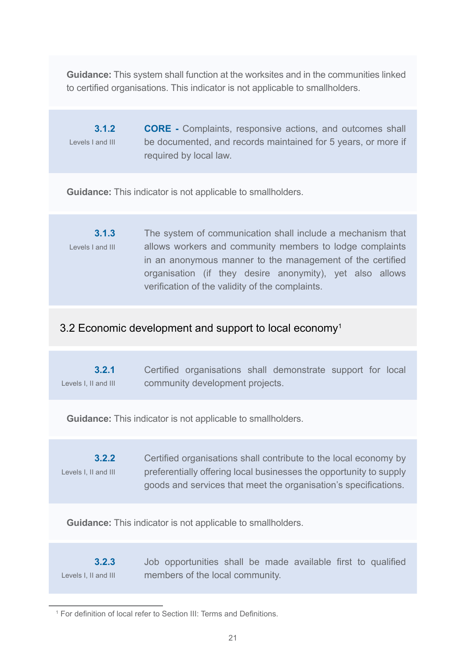**Guidance:** This system shall function at the worksites and in the communities linked to certified organisations. This indicator is not applicable to smallholders.

**3.1.2** Levels I and III **CORE -** Complaints, responsive actions, and outcomes shall be documented, and records maintained for 5 years, or more if required by local law.

**Guidance:** This indicator is not applicable to smallholders.

**3.1.3** Levels I and III The system of communication shall include a mechanism that allows workers and community members to lodge complaints in an anonymous manner to the management of the certified organisation (if they desire anonymity), yet also allows verification of the validity of the complaints.

# 3.2 Economic development and support to local economy<sup>1</sup>

**3.2.1** Levels I, II and III Certified organisations shall demonstrate support for local community development projects.

**Guidance:** This indicator is not applicable to smallholders.

**3.2.2** Levels I, II and III Certified organisations shall contribute to the local economy by preferentially offering local businesses the opportunity to supply goods and services that meet the organisation's specifications.

**Guidance:** This indicator is not applicable to smallholders.

**3.2.3** Levels I, II and III Job opportunities shall be made available first to qualified members of the local community.

<sup>&</sup>lt;sup>1</sup> For definition of local refer to Section III: Terms and Definitions.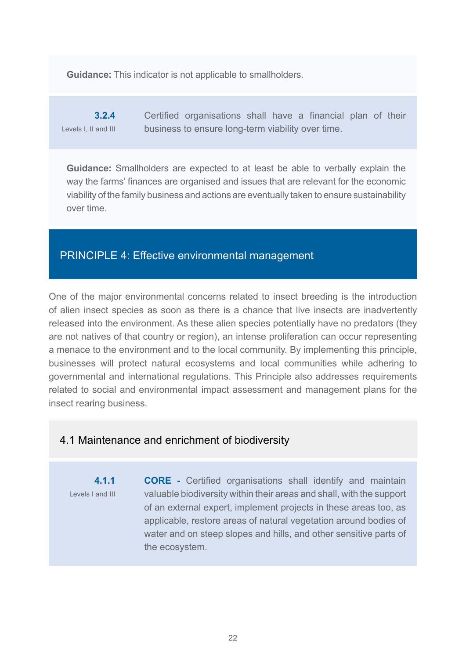**Guidance:** This indicator is not applicable to smallholders.

**3.2.4** Levels I, II and III Certified organisations shall have a financial plan of their business to ensure long-term viability over time.

**Guidance:** Smallholders are expected to at least be able to verbally explain the way the farms' finances are organised and issues that are relevant for the economic viability of the family business and actions are eventually taken to ensure sustainability over time.

# PRINCIPLE 4: Effective environmental management

One of the major environmental concerns related to insect breeding is the introduction of alien insect species as soon as there is a chance that live insects are inadvertently released into the environment. As these alien species potentially have no predators (they are not natives of that country or region), an intense proliferation can occur representing a menace to the environment and to the local community. By implementing this principle, businesses will protect natural ecosystems and local communities while adhering to governmental and international regulations. This Principle also addresses requirements related to social and environmental impact assessment and management plans for the insect rearing business.

# 4.1 Maintenance and enrichment of biodiversity

**4.1.1** Levels I and III **CORE -** Certified organisations shall identify and maintain valuable biodiversity within their areas and shall, with the support of an external expert, implement projects in these areas too, as applicable, restore areas of natural vegetation around bodies of water and on steep slopes and hills, and other sensitive parts of the ecosystem.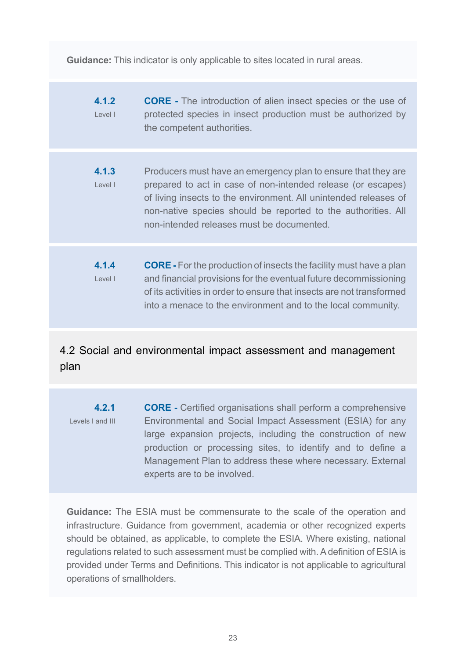**Guidance:** This indicator is only applicable to sites located in rural areas.

**4.1.2** Level I **CORE -** The introduction of alien insect species or the use of protected species in insect production must be authorized by the competent authorities.

- **4.1.3** Level I Producers must have an emergency plan to ensure that they are prepared to act in case of non-intended release (or escapes) of living insects to the environment. All unintended releases of non-native species should be reported to the authorities. All non-intended releases must be documented.
- **4.1.4**  Level I **CORE -** For the production of insects the facility must have a plan and financial provisions for the eventual future decommissioning of its activities in order to ensure that insects are not transformed into a menace to the environment and to the local community.

# 4.2 Social and environmental impact assessment and management plan

**4.2.1** Levels I and III **CORE -** Certified organisations shall perform a comprehensive Environmental and Social Impact Assessment (ESIA) for any large expansion projects, including the construction of new production or processing sites, to identify and to define a Management Plan to address these where necessary. External experts are to be involved.

**Guidance:** The ESIA must be commensurate to the scale of the operation and infrastructure. Guidance from government, academia or other recognized experts should be obtained, as applicable, to complete the ESIA. Where existing, national regulations related to such assessment must be complied with. A definition of ESIA is provided under Terms and Definitions. This indicator is not applicable to agricultural operations of smallholders.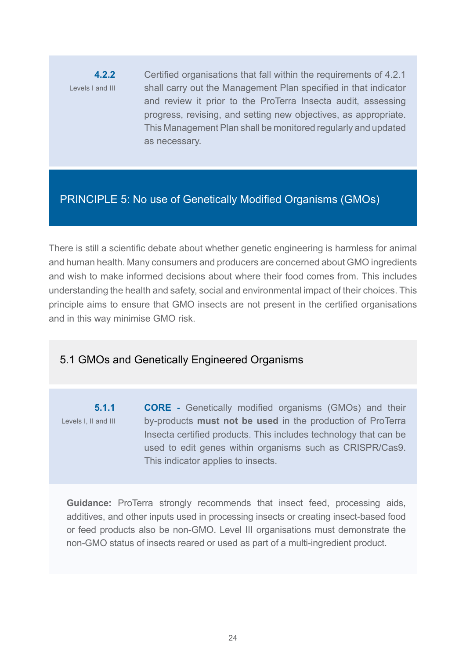**4.2.2** Levels I and III Certified organisations that fall within the requirements of 4.2.1 shall carry out the Management Plan specified in that indicator and review it prior to the ProTerra Insecta audit, assessing progress, revising, and setting new objectives, as appropriate. This Management Plan shall be monitored regularly and updated as necessary.

# PRINCIPLE 5: No use of Genetically Modified Organisms (GMOs)

There is still a scientific debate about whether genetic engineering is harmless for animal and human health. Many consumers and producers are concerned about GMO ingredients and wish to make informed decisions about where their food comes from. This includes understanding the health and safety, social and environmental impact of their choices. This principle aims to ensure that GMO insects are not present in the certified organisations and in this way minimise GMO risk.

# 5.1 GMOs and Genetically Engineered Organisms

**5.1.1** Levels I, II and III **CORE -** Genetically modified organisms (GMOs) and their by-products **must not be used** in the production of ProTerra Insecta certified products. This includes technology that can be used to edit genes within organisms such as CRISPR/Cas9. This indicator applies to insects.

**Guidance:** ProTerra strongly recommends that insect feed, processing aids, additives, and other inputs used in processing insects or creating insect-based food or feed products also be non-GMO. Level III organisations must demonstrate the non-GMO status of insects reared or used as part of a multi-ingredient product.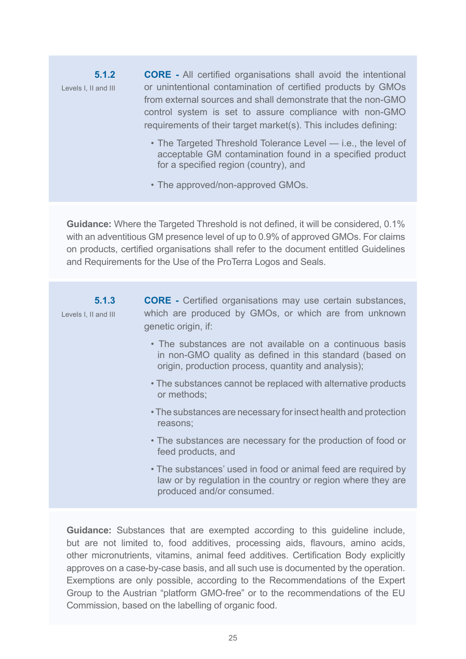**5.1.2** Levels I, II and III **CORE -** All certified organisations shall avoid the intentional or unintentional contamination of certified products by GMOs from external sources and shall demonstrate that the non-GMO control system is set to assure compliance with non-GMO requirements of their target market(s). This includes defining:

- The Targeted Threshold Tolerance Level i.e., the level of acceptable GM contamination found in a specified product for a specified region (country), and
- The approved/non-approved GMOs.

**Guidance:** Where the Targeted Threshold is not defined, it will be considered, 0.1% with an adventitious GM presence level of up to 0.9% of approved GMOs. For claims on products, certified organisations shall refer to the document entitled Guidelines and Requirements for the Use of the ProTerra Logos and Seals.

| 5.1.3<br>Levels I, II and III | <b>CORE</b> - Certified organisations may use certain substances,<br>which are produced by GMOs, or which are from unknown                                                  |
|-------------------------------|-----------------------------------------------------------------------------------------------------------------------------------------------------------------------------|
|                               | genetic origin, if:                                                                                                                                                         |
|                               | • The substances are not available on a continuous basis<br>in non-GMO quality as defined in this standard (based on<br>origin, production process, quantity and analysis); |
|                               | • The substances cannot be replaced with alternative products<br>or methods;                                                                                                |
|                               | • The substances are necessary for insect health and protection<br>reasons;                                                                                                 |
|                               | • The substances are necessary for the production of food or<br>feed products, and                                                                                          |
|                               | • The substances' used in food or animal feed are required by<br>law or by regulation in the country or region where they are<br>produced and/or consumed.                  |
|                               | <b>Guidance:</b> Substances that are exempted according to this guideline include,                                                                                          |

but are not limited to, food additives, processing aids, flavours, amino acids, other micronutrients, vitamins, animal feed additives. Certification Body explicitly approves on a case-by-case basis, and all such use is documented by the operation. Exemptions are only possible, according to the Recommendations of the Expert Group to the Austrian "platform GMO-free" or to the recommendations of the EU Commission, based on the labelling of organic food.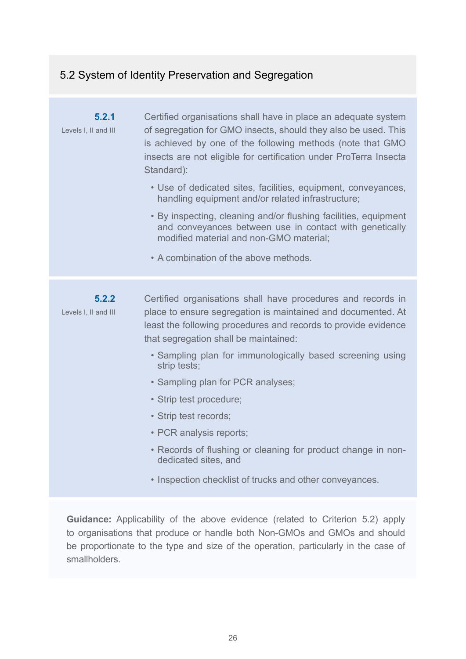# 5.2 System of Identity Preservation and Segregation

| 5.2.1<br>Levels I, II and III | Certified organisations shall have in place an adequate system<br>of segregation for GMO insects, should they also be used. This<br>is achieved by one of the following methods (note that GMO<br>insects are not eligible for certification under ProTerra Insecta<br>Standard): |
|-------------------------------|-----------------------------------------------------------------------------------------------------------------------------------------------------------------------------------------------------------------------------------------------------------------------------------|
|                               | • Use of dedicated sites, facilities, equipment, conveyances,<br>handling equipment and/or related infrastructure;                                                                                                                                                                |
|                               | • By inspecting, cleaning and/or flushing facilities, equipment<br>and conveyances between use in contact with genetically<br>modified material and non-GMO material;                                                                                                             |
|                               | • A combination of the above methods.                                                                                                                                                                                                                                             |
| 5.2.2<br>Levels I, II and III | Certified organisations shall have procedures and records in<br>place to ensure segregation is maintained and documented. At<br>least the following procedures and records to provide evidence<br>that segregation shall be maintained:                                           |
|                               | • Sampling plan for immunologically based screening using<br>strip tests;                                                                                                                                                                                                         |
|                               | • Sampling plan for PCR analyses;                                                                                                                                                                                                                                                 |
|                               | • Strip test procedure;                                                                                                                                                                                                                                                           |
|                               | • Strip test records;                                                                                                                                                                                                                                                             |
|                               | • PCR analysis reports;                                                                                                                                                                                                                                                           |
|                               | • Records of flushing or cleaning for product change in non-<br>dedicated sites, and                                                                                                                                                                                              |
|                               | • Inspection checklist of trucks and other conveyances.                                                                                                                                                                                                                           |

**Guidance:** Applicability of the above evidence (related to Criterion 5.2) apply to organisations that produce or handle both Non-GMOs and GMOs and should be proportionate to the type and size of the operation, particularly in the case of smallholders.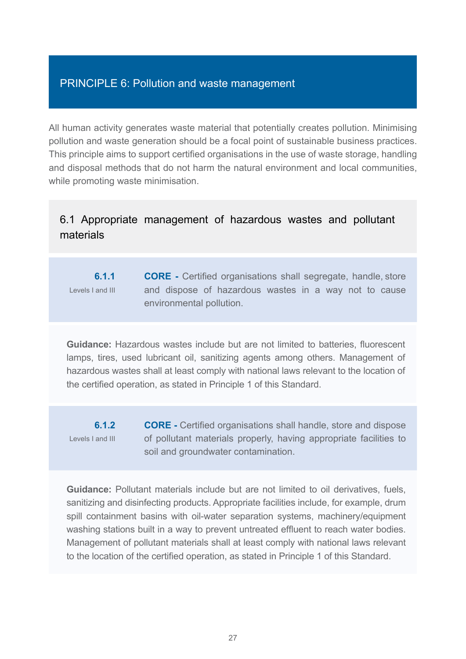# PRINCIPLE 6: Pollution and waste management

All human activity generates waste material that potentially creates pollution. Minimising pollution and waste generation should be a focal point of sustainable business practices. This principle aims to support certified organisations in the use of waste storage, handling and disposal methods that do not harm the natural environment and local communities, while promoting waste minimisation.

# 6.1 Appropriate management of hazardous wastes and pollutant materials

#### **6.1.1** Levels I and III **CORE -** Certified organisations shall segregate, handle, store and dispose of hazardous wastes in a way not to cause environmental pollution.

**Guidance:** Hazardous wastes include but are not limited to batteries, fluorescent lamps, tires, used lubricant oil, sanitizing agents among others. Management of hazardous wastes shall at least comply with national laws relevant to the location of the certified operation, as stated in Principle 1 of this Standard.

**6.1.2** Levels I and III

**CORE -** Certified organisations shall handle, store and dispose of pollutant materials properly, having appropriate facilities to soil and groundwater contamination.

**Guidance:** Pollutant materials include but are not limited to oil derivatives, fuels, sanitizing and disinfecting products. Appropriate facilities include, for example, drum spill containment basins with oil-water separation systems, machinery/equipment washing stations built in a way to prevent untreated effluent to reach water bodies. Management of pollutant materials shall at least comply with national laws relevant to the location of the certified operation, as stated in Principle 1 of this Standard.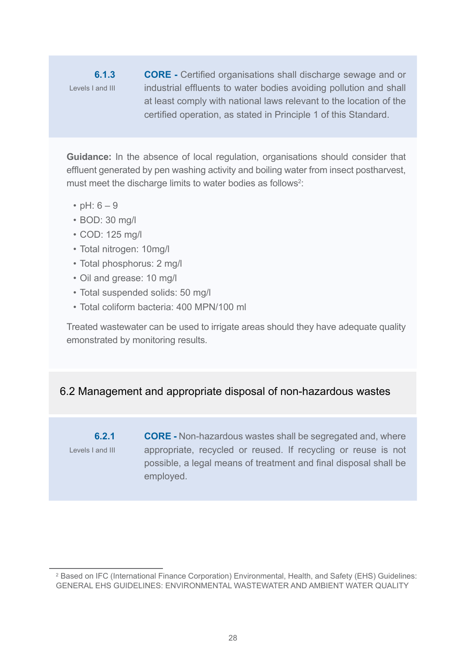**6.1.3** Levels I and III **CORE -** Certified organisations shall discharge sewage and or industrial effluents to water bodies avoiding pollution and shall at least comply with national laws relevant to the location of the certified operation, as stated in Principle 1 of this Standard.

**Guidance:** In the absence of local regulation, organisations should consider that effluent generated by pen washing activity and boiling water from insect postharvest, must meet the discharge limits to water bodies as follows<sup>2</sup>:

- $pH: 6 9$
- BOD: 30 mg/l
- COD: 125 mg/l
- Total nitrogen: 10mg/l
- Total phosphorus: 2 mg/l
- Oil and grease: 10 mg/l
- Total suspended solids: 50 mg/l
- Total coliform bacteria: 400 MPN/100 ml

Treated wastewater can be used to irrigate areas should they have adequate quality emonstrated by monitoring results.

# 6.2 Management and appropriate disposal of non-hazardous wastes

**6.2.1** Levels I and III **CORE -** Non-hazardous wastes shall be segregated and, where appropriate, recycled or reused. If recycling or reuse is not possible, a legal means of treatment and final disposal shall be employed.

<sup>2</sup> Based on IFC (International Finance Corporation) Environmental, Health, and Safety (EHS) Guidelines: GENERAL EHS GUIDELINES: ENVIRONMENTAL WASTEWATER AND AMBIENT WATER QUALITY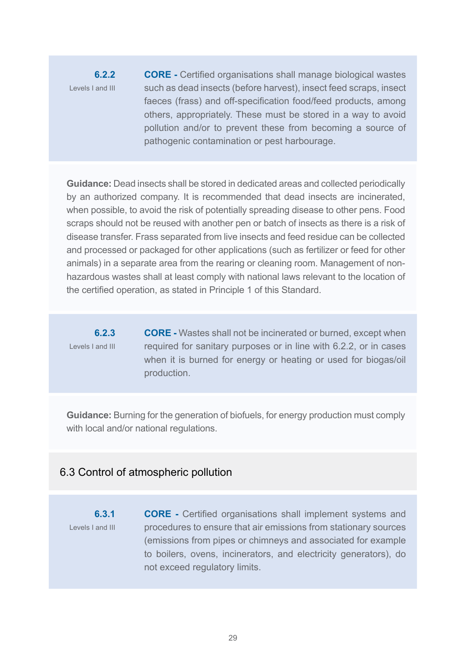**6.2.2** Levels I and III **CORE -** Certified organisations shall manage biological wastes such as dead insects (before harvest), insect feed scraps, insect faeces (frass) and off-specification food/feed products, among others, appropriately. These must be stored in a way to avoid pollution and/or to prevent these from becoming a source of pathogenic contamination or pest harbourage.

**Guidance:** Dead insects shall be stored in dedicated areas and collected periodically by an authorized company. It is recommended that dead insects are incinerated, when possible, to avoid the risk of potentially spreading disease to other pens. Food scraps should not be reused with another pen or batch of insects as there is a risk of disease transfer. Frass separated from live insects and feed residue can be collected and processed or packaged for other applications (such as fertilizer or feed for other animals) in a separate area from the rearing or cleaning room. Management of nonhazardous wastes shall at least comply with national laws relevant to the location of the certified operation, as stated in Principle 1 of this Standard.

**6.2.3** Levels I and III **CORE -** Wastes shall not be incinerated or burned, except when required for sanitary purposes or in line with 6.2.2, or in cases when it is burned for energy or heating or used for biogas/oil production.

**Guidance:** Burning for the generation of biofuels, for energy production must comply with local and/or national regulations.

#### 6.3 Control of atmospheric pollution

**6.3.1** Levels I and III **CORE -** Certified organisations shall implement systems and procedures to ensure that air emissions from stationary sources (emissions from pipes or chimneys and associated for example to boilers, ovens, incinerators, and electricity generators), do not exceed regulatory limits.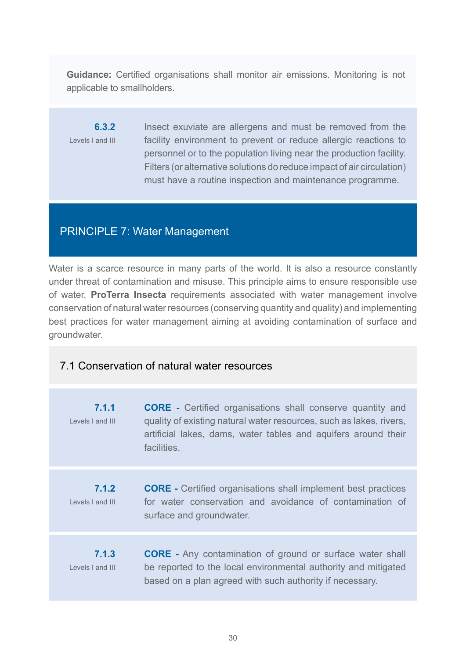**Guidance:** Certified organisations shall monitor air emissions. Monitoring is not applicable to smallholders.

**6.3.2** Levels I and III Insect exuviate are allergens and must be removed from the facility environment to prevent or reduce allergic reactions to personnel or to the population living near the production facility. Filters (or alternative solutions do reduce impact of air circulation) must have a routine inspection and maintenance programme.

# PRINCIPLE 7: Water Management

Water is a scarce resource in many parts of the world. It is also a resource constantly under threat of contamination and misuse. This principle aims to ensure responsible use of water. **ProTerra Insecta** requirements associated with water management involve conservation of natural water resources (conserving quantity and quality) and implementing best practices for water management aiming at avoiding contamination of surface and groundwater.

# 7.1 Conservation of natural water resources

| 7.1.1<br>Levels Land III  | <b>CORE</b> - Certified organisations shall conserve quantity and<br>quality of existing natural water resources, such as lakes, rivers,<br>artificial lakes, dams, water tables and aquifers around their<br>facilities. |
|---------------------------|---------------------------------------------------------------------------------------------------------------------------------------------------------------------------------------------------------------------------|
| 7.1.2<br>Levels Land III  | <b>CORE</b> - Certified organisations shall implement best practices<br>for water conservation and avoidance of contamination of<br>surface and groundwater.                                                              |
| 7.1.3<br>Levels I and III | <b>CORE</b> - Any contamination of ground or surface water shall<br>be reported to the local environmental authority and mitigated<br>based on a plan agreed with such authority if necessary.                            |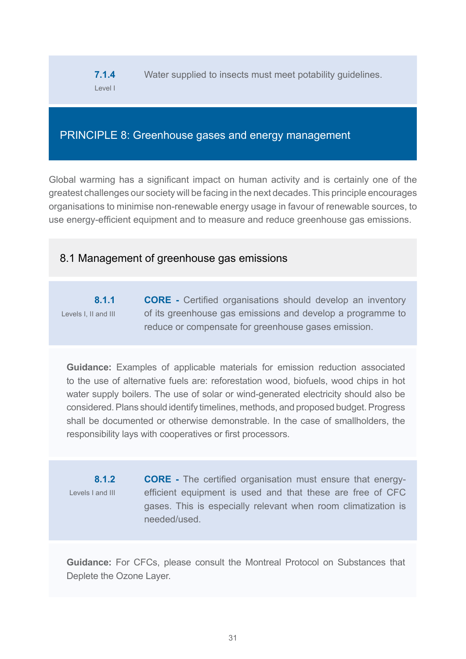**7.1.4** Level I Water supplied to insects must meet potability guidelines.

# PRINCIPLE 8: Greenhouse gases and energy management

Global warming has a significant impact on human activity and is certainly one of the greatest challenges our society will be facing in the next decades. This principle encourages organisations to minimise non-renewable energy usage in favour of renewable sources, to use energy-efficient equipment and to measure and reduce greenhouse gas emissions.

# 8.1 Management of greenhouse gas emissions

**8.1.1** Levels I, II and III **CORE -** Certified organisations should develop an inventory of its greenhouse gas emissions and develop a programme to reduce or compensate for greenhouse gases emission.

**Guidance:** Examples of applicable materials for emission reduction associated to the use of alternative fuels are: reforestation wood, biofuels, wood chips in hot water supply boilers. The use of solar or wind-generated electricity should also be considered. Plans should identify timelines, methods, and proposed budget. Progress shall be documented or otherwise demonstrable. In the case of smallholders, the responsibility lays with cooperatives or first processors.

**8.1.2** Levels I and III

**CORE -** The certified organisation must ensure that energyefficient equipment is used and that these are free of CFC gases. This is especially relevant when room climatization is needed/used.

**Guidance:** For CFCs, please consult the Montreal Protocol on Substances that Deplete the Ozone Layer.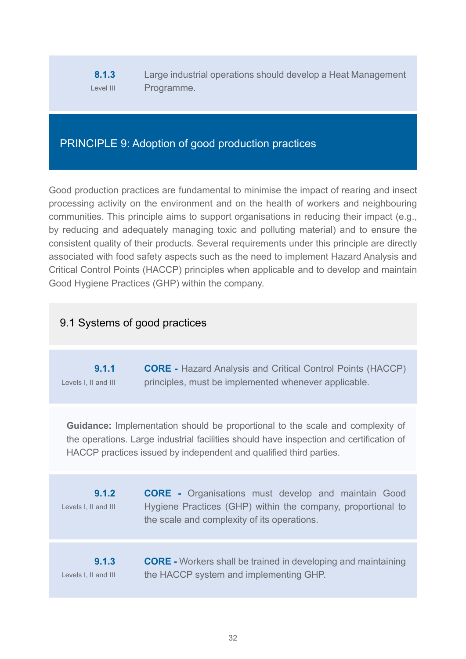#### **8.1.3** Level III Large industrial operations should develop a Heat Management Programme.

# PRINCIPLE 9: Adoption of good production practices

Good production practices are fundamental to minimise the impact of rearing and insect processing activity on the environment and on the health of workers and neighbouring communities. This principle aims to support organisations in reducing their impact (e.g., by reducing and adequately managing toxic and polluting material) and to ensure the consistent quality of their products. Several requirements under this principle are directly associated with food safety aspects such as the need to implement Hazard Analysis and Critical Control Points (HACCP) principles when applicable and to develop and maintain Good Hygiene Practices (GHP) within the company.

# 9.1 Systems of good practices

| 9.1.1                | <b>CORE</b> - Hazard Analysis and Critical Control Points (HACCP) |
|----------------------|-------------------------------------------------------------------|
| Levels I, II and III | principles, must be implemented whenever applicable.              |

**Guidance:** Implementation should be proportional to the scale and complexity of the operations. Large industrial facilities should have inspection and certification of HACCP practices issued by independent and qualified third parties.

| 9.1.2<br>Levels I, II and III | <b>CORE</b> - Organisations must develop and maintain Good<br>Hygiene Practices (GHP) within the company, proportional to<br>the scale and complexity of its operations. |
|-------------------------------|--------------------------------------------------------------------------------------------------------------------------------------------------------------------------|
| 9.1.3                         | <b>CORE</b> - Workers shall be trained in developing and maintaining                                                                                                     |
| Levels I, II and III          | the HACCP system and implementing GHP.                                                                                                                                   |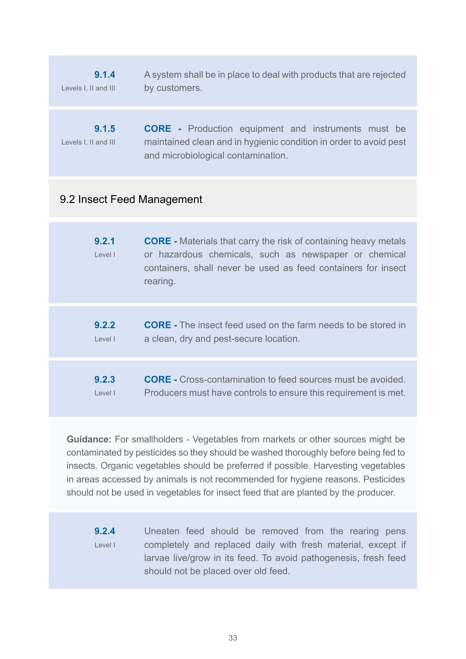**9.1.4** Levels I, II and III A system shall be in place to deal with products that are rejected by customers.

**9.1.5** Levels I, II and III **CORE -** Production equipment and instruments must be maintained clean and in hygienic condition in order to avoid pest and microbiological contamination.

# 9.2 Insect Feed Management

| 9.2.1<br>Level I | <b>CORE</b> - Materials that carry the risk of containing heavy metals<br>or hazardous chemicals, such as newspaper or chemical<br>containers, shall never be used as feed containers for insect<br>rearing. |
|------------------|--------------------------------------------------------------------------------------------------------------------------------------------------------------------------------------------------------------|
| 9.2.2<br>Level I | <b>CORE</b> - The insect feed used on the farm needs to be stored in<br>a clean, dry and pest-secure location.                                                                                               |
| 9.2.3<br>Level I | <b>CORE</b> - Cross-contamination to feed sources must be avoided.<br>Producers must have controls to ensure this requirement is met.                                                                        |

**Guidance:** For smallholders - Vegetables from markets or other sources might be contaminated by pesticides so they should be washed thoroughly before being fed to insects. Organic vegetables should be preferred if possible. Harvesting vegetables in areas accessed by animals is not recommended for hygiene reasons. Pesticides should not be used in vegetables for insect feed that are planted by the producer.

**9.2.4** Level I Uneaten feed should be removed from the rearing pens completely and replaced daily with fresh material, except if larvae live/grow in its feed. To avoid pathogenesis, fresh feed should not be placed over old feed.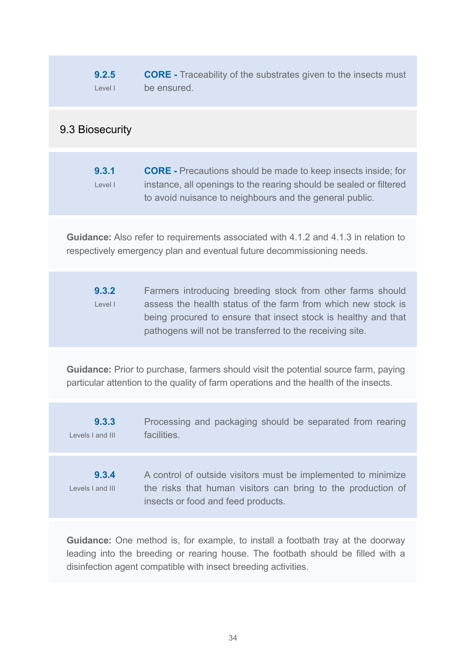**9.2.5** Level I **CORE -** Traceability of the substrates given to the insects must be ensured.

# 9.3 Biosecurity

**9.3.1** Level I **CORE -** Precautions should be made to keep insects inside; for instance, all openings to the rearing should be sealed or filtered to avoid nuisance to neighbours and the general public.

**Guidance:** Also refer to requirements associated with 4.1.2 and 4.1.3 in relation to respectively emergency plan and eventual future decommissioning needs.

**9.3.2** Level I Farmers introducing breeding stock from other farms should assess the health status of the farm from which new stock is being procured to ensure that insect stock is healthy and that pathogens will not be transferred to the receiving site.

**Guidance:** Prior to purchase, farmers should visit the potential source farm, paying particular attention to the quality of farm operations and the health of the insects.

**9.3.3** Levels I and III Processing and packaging should be separated from rearing **facilities** 

**9.3.4** Levels I and III A control of outside visitors must be implemented to minimize the risks that human visitors can bring to the production of insects or food and feed products.

**Guidance:** One method is, for example, to install a footbath tray at the doorway leading into the breeding or rearing house. The footbath should be filled with a disinfection agent compatible with insect breeding activities.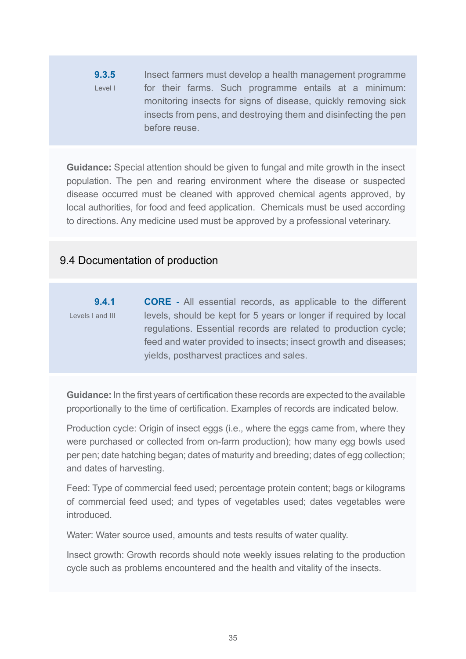**9.3.5** Level I Insect farmers must develop a health management programme for their farms. Such programme entails at a minimum: monitoring insects for signs of disease, quickly removing sick insects from pens, and destroying them and disinfecting the pen before reuse.

**Guidance:** Special attention should be given to fungal and mite growth in the insect population. The pen and rearing environment where the disease or suspected disease occurred must be cleaned with approved chemical agents approved, by local authorities, for food and feed application. Chemicals must be used according to directions. Any medicine used must be approved by a professional veterinary.

# 9.4 Documentation of production

**9.4.1** Levels I and III **CORE -** All essential records, as applicable to the different levels, should be kept for 5 years or longer if required by local regulations. Essential records are related to production cycle; feed and water provided to insects; insect growth and diseases; yields, postharvest practices and sales.

**Guidance:** In the first years of certification these records are expected to the available proportionally to the time of certification. Examples of records are indicated below.

Production cycle: Origin of insect eggs (i.e., where the eggs came from, where they were purchased or collected from on-farm production); how many egg bowls used per pen; date hatching began; dates of maturity and breeding; dates of egg collection; and dates of harvesting.

Feed: Type of commercial feed used; percentage protein content; bags or kilograms of commercial feed used; and types of vegetables used; dates vegetables were introduced.

Water: Water source used, amounts and tests results of water quality.

Insect growth: Growth records should note weekly issues relating to the production cycle such as problems encountered and the health and vitality of the insects.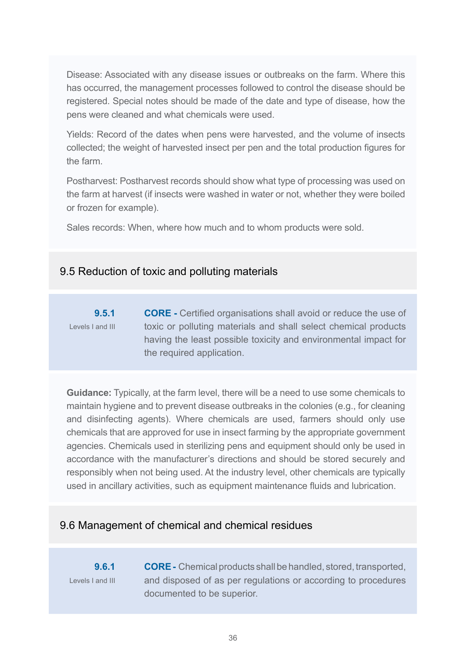Disease: Associated with any disease issues or outbreaks on the farm. Where this has occurred, the management processes followed to control the disease should be registered. Special notes should be made of the date and type of disease, how the pens were cleaned and what chemicals were used.

Yields: Record of the dates when pens were harvested, and the volume of insects collected; the weight of harvested insect per pen and the total production figures for the farm.

Postharvest: Postharvest records should show what type of processing was used on the farm at harvest (if insects were washed in water or not, whether they were boiled or frozen for example).

Sales records: When, where how much and to whom products were sold.

# 9.5 Reduction of toxic and polluting materials

**9.5.1** Levels I and III **CORE -** Certified organisations shall avoid or reduce the use of toxic or polluting materials and shall select chemical products having the least possible toxicity and environmental impact for the required application.

**Guidance:** Typically, at the farm level, there will be a need to use some chemicals to maintain hygiene and to prevent disease outbreaks in the colonies (e.g., for cleaning and disinfecting agents). Where chemicals are used, farmers should only use chemicals that are approved for use in insect farming by the appropriate government agencies. Chemicals used in sterilizing pens and equipment should only be used in accordance with the manufacturer's directions and should be stored securely and responsibly when not being used. At the industry level, other chemicals are typically used in ancillary activities, such as equipment maintenance fluids and lubrication.

# 9.6 Management of chemical and chemical residues

**9.6.1** Levels I and III **CORE -** Chemical products shall be handled, stored, transported, and disposed of as per regulations or according to procedures documented to be superior.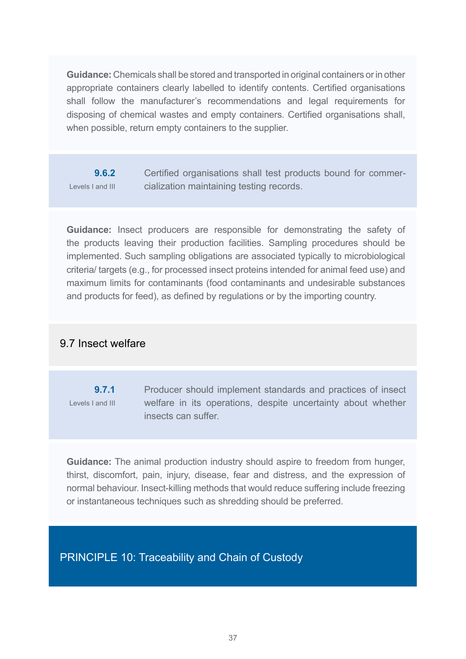**Guidance:** Chemicals shall be stored and transported in original containers or in other appropriate containers clearly labelled to identify contents. Certified organisations shall follow the manufacturer's recommendations and legal requirements for disposing of chemical wastes and empty containers. Certified organisations shall, when possible, return empty containers to the supplier.

**9.6.2** Levels I and III Certified organisations shall test products bound for commercialization maintaining testing records.

**Guidance:** Insect producers are responsible for demonstrating the safety of the products leaving their production facilities. Sampling procedures should be implemented. Such sampling obligations are associated typically to microbiological criteria/ targets (e.g., for processed insect proteins intended for animal feed use) and maximum limits for contaminants (food contaminants and undesirable substances and products for feed), as defined by regulations or by the importing country.

# 9.7 Insect welfare

**9.7.1** Levels I and III Producer should implement standards and practices of insect welfare in its operations, despite uncertainty about whether insects can suffer.

**Guidance:** The animal production industry should aspire to freedom from hunger, thirst, discomfort, pain, injury, disease, fear and distress, and the expression of normal behaviour. Insect-killing methods that would reduce suffering include freezing or instantaneous techniques such as shredding should be preferred.

PRINCIPLE 10: Traceability and Chain of Custody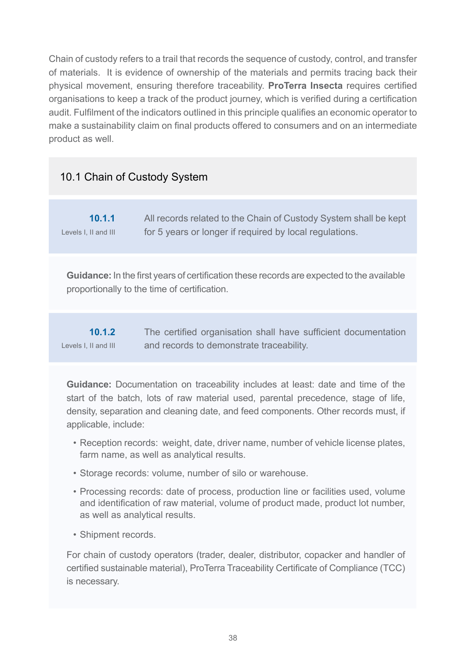Chain of custody refers to a trail that records the sequence of custody, control, and transfer of materials. It is evidence of ownership of the materials and permits tracing back their physical movement, ensuring therefore traceability. **ProTerra Insecta** requires certified organisations to keep a track of the product journey, which is verified during a certification audit. Fulfilment of the indicators outlined in this principle qualifies an economic operator to make a sustainability claim on final products offered to consumers and on an intermediate product as well.

# 10.1 Chain of Custody System

| 10.1.1               | All records related to the Chain of Custody System shall be kept |
|----------------------|------------------------------------------------------------------|
| Levels I, II and III | for 5 years or longer if required by local regulations.          |

**Guidance:** In the first years of certification these records are expected to the available proportionally to the time of certification.

| 10.1.2               | The certified organisation shall have sufficient documentation |
|----------------------|----------------------------------------------------------------|
| Levels I, II and III | and records to demonstrate traceability.                       |

**Guidance:** Documentation on traceability includes at least: date and time of the start of the batch, lots of raw material used, parental precedence, stage of life, density, separation and cleaning date, and feed components. Other records must, if applicable, include:

- Reception records: weight, date, driver name, number of vehicle license plates, farm name, as well as analytical results.
- Storage records: volume, number of silo or warehouse.
- Processing records: date of process, production line or facilities used, volume and identification of raw material, volume of product made, product lot number, as well as analytical results.
- Shipment records.

For chain of custody operators (trader, dealer, distributor, copacker and handler of certified sustainable material), ProTerra Traceability Certificate of Compliance (TCC) is necessary.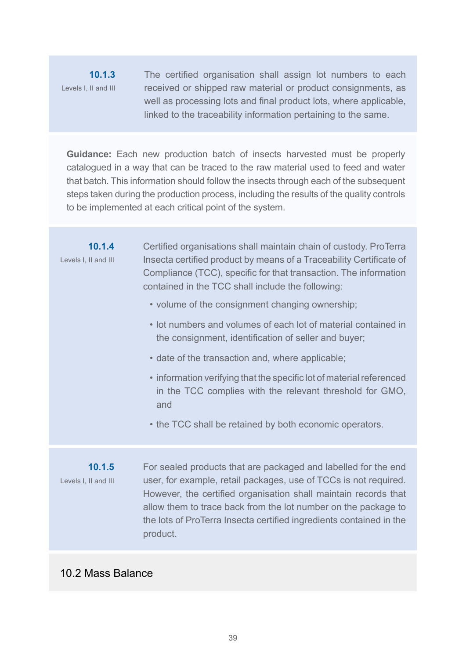# **10.1.3** Levels I, II and III

The certified organisation shall assign lot numbers to each received or shipped raw material or product consignments, as well as processing lots and final product lots, where applicable, linked to the traceability information pertaining to the same.

**Guidance:** Each new production batch of insects harvested must be properly catalogued in a way that can be traced to the raw material used to feed and water that batch. This information should follow the insects through each of the subsequent steps taken during the production process, including the results of the quality controls to be implemented at each critical point of the system.

**10.1.4** Levels I, II and III Certified organisations shall maintain chain of custody. ProTerra Insecta certified product by means of a Traceability Certificate of Compliance (TCC), specific for that transaction. The information contained in the TCC shall include the following: • volume of the consignment changing ownership; • lot numbers and volumes of each lot of material contained in the consignment, identification of seller and buyer; • date of the transaction and, where applicable; • information verifying that the specific lot of material referenced in the TCC complies with the relevant threshold for GMO, and • the TCC shall be retained by both economic operators.

**10.1.5** Levels I, II and III For sealed products that are packaged and labelled for the end user, for example, retail packages, use of TCCs is not required. However, the certified organisation shall maintain records that allow them to trace back from the lot number on the package to the lots of ProTerra Insecta certified ingredients contained in the product.

# 10.2 Mass Balance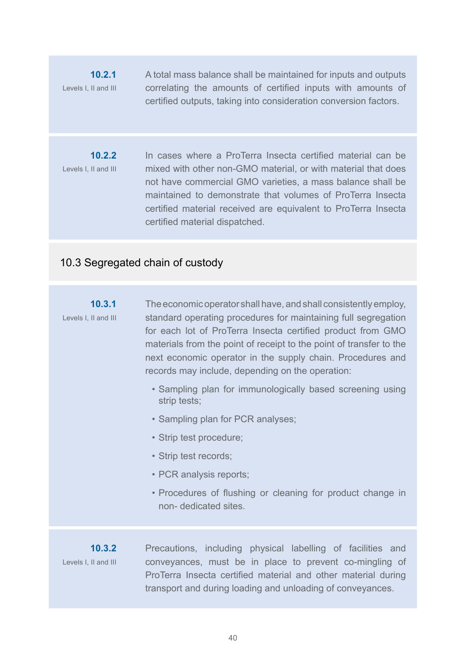**10.2.1** Levels I, II and III A total mass balance shall be maintained for inputs and outputs correlating the amounts of certified inputs with amounts of certified outputs, taking into consideration conversion factors.

**10.2.2** Levels I, II and III In cases where a ProTerra Insecta certified material can be mixed with other non-GMO material, or with material that does not have commercial GMO varieties, a mass balance shall be maintained to demonstrate that volumes of ProTerra Insecta certified material received are equivalent to ProTerra Insecta certified material dispatched.

# 10.3 Segregated chain of custody

#### **10.3.1** Levels I, II and III The economic operator shall have, and shall consistently employ, standard operating procedures for maintaining full segregation for each lot of ProTerra Insecta certified product from GMO materials from the point of receipt to the point of transfer to the next economic operator in the supply chain. Procedures and records may include, depending on the operation:

- Sampling plan for immunologically based screening using strip tests;
- Sampling plan for PCR analyses;
- Strip test procedure;
- Strip test records;
- PCR analysis reports;
- Procedures of flushing or cleaning for product change in non- dedicated sites.

**10.3.2** Levels I, II and III Precautions, including physical labelling of facilities and conveyances, must be in place to prevent co-mingling of ProTerra Insecta certified material and other material during transport and during loading and unloading of conveyances.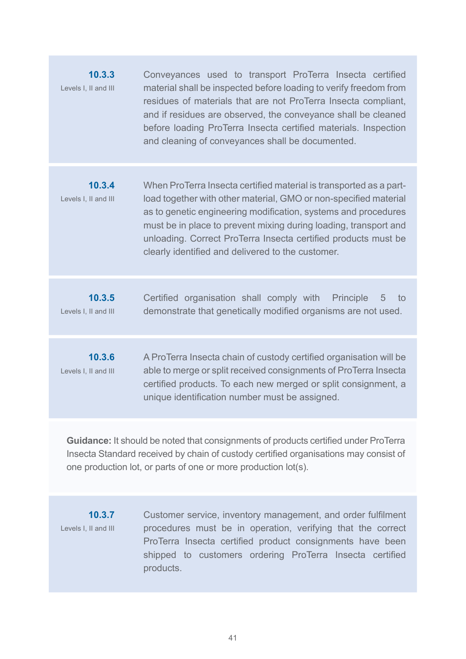| 10.3.3<br>Levels I, II and III | Conveyances used to transport ProTerra Insecta certified<br>material shall be inspected before loading to verify freedom from<br>residues of materials that are not ProTerra Insecta compliant,<br>and if residues are observed, the conveyance shall be cleaned<br>before loading ProTerra Insecta certified materials. Inspection<br>and cleaning of conveyances shall be documented.             |
|--------------------------------|-----------------------------------------------------------------------------------------------------------------------------------------------------------------------------------------------------------------------------------------------------------------------------------------------------------------------------------------------------------------------------------------------------|
| 10.3.4<br>Levels I, II and III | When ProTerra Insecta certified material is transported as a part-<br>load together with other material, GMO or non-specified material<br>as to genetic engineering modification, systems and procedures<br>must be in place to prevent mixing during loading, transport and<br>unloading. Correct ProTerra Insecta certified products must be<br>clearly identified and delivered to the customer. |
| 10.3.5<br>Levels I, II and III | Certified organisation shall comply with<br><b>Principle</b><br>5<br>to<br>demonstrate that genetically modified organisms are not used.                                                                                                                                                                                                                                                            |
| 10.3.6<br>Levels I, II and III | A ProTerra Insecta chain of custody certified organisation will be<br>able to merge or split received consignments of ProTerra Insecta<br>certified products. To each new merged or split consignment, a<br>unique identification number must be assigned.                                                                                                                                          |
|                                |                                                                                                                                                                                                                                                                                                                                                                                                     |

**Guidance:** It should be noted that consignments of products certified under ProTerra Insecta Standard received by chain of custody certified organisations may consist of one production lot, or parts of one or more production lot(s).

**10.3.7** Levels I, II and III Customer service, inventory management, and order fulfilment procedures must be in operation, verifying that the correct ProTerra Insecta certified product consignments have been shipped to customers ordering ProTerra Insecta certified products.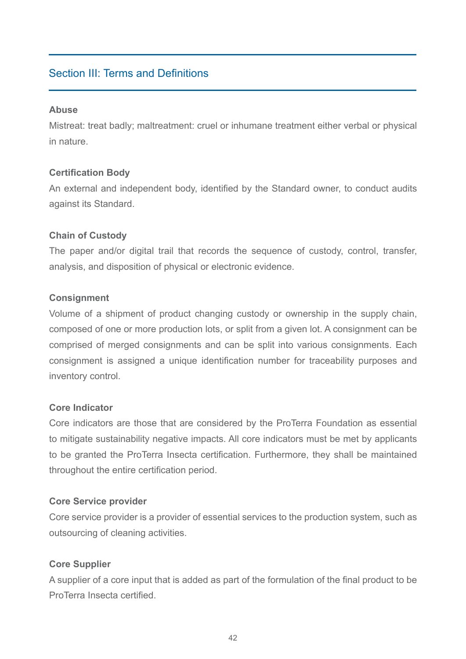# Section III: Terms and Definitions

#### **Abuse**

Mistreat: treat badly; maltreatment: cruel or inhumane treatment either verbal or physical in nature.

# **Certification Body**

An external and independent body, identified by the Standard owner, to conduct audits against its Standard.

#### **Chain of Custody**

The paper and/or digital trail that records the sequence of custody, control, transfer, analysis, and disposition of physical or electronic evidence.

#### **Consignment**

Volume of a shipment of product changing custody or ownership in the supply chain, composed of one or more production lots, or split from a given lot. A consignment can be comprised of merged consignments and can be split into various consignments. Each consignment is assigned a unique identification number for traceability purposes and inventory control.

#### **Core Indicator**

Core indicators are those that are considered by the ProTerra Foundation as essential to mitigate sustainability negative impacts. All core indicators must be met by applicants to be granted the ProTerra Insecta certification. Furthermore, they shall be maintained throughout the entire certification period.

#### **Core Service provider**

Core service provider is a provider of essential services to the production system, such as outsourcing of cleaning activities.

# **Core Supplier**

A supplier of a core input that is added as part of the formulation of the final product to be ProTerra Insecta certified.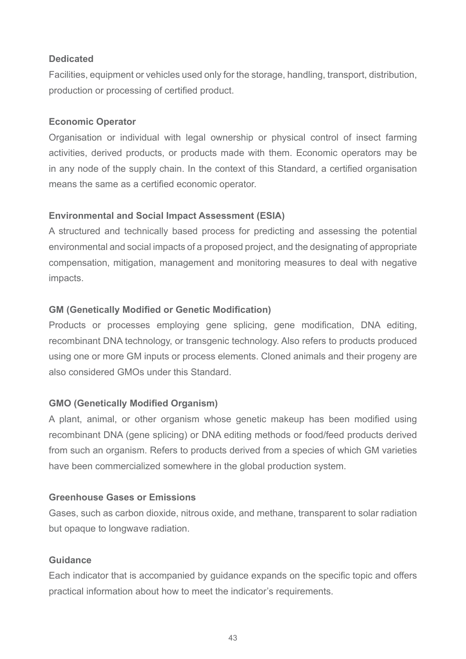#### **Dedicated**

Facilities, equipment or vehicles used only for the storage, handling, transport, distribution, production or processing of certified product.

# **Economic Operator**

Organisation or individual with legal ownership or physical control of insect farming activities, derived products, or products made with them. Economic operators may be in any node of the supply chain. In the context of this Standard, a certified organisation means the same as a certified economic operator.

# **Environmental and Social Impact Assessment (ESIA)**

A structured and technically based process for predicting and assessing the potential environmental and social impacts of a proposed project, and the designating of appropriate compensation, mitigation, management and monitoring measures to deal with negative impacts.

# **GM (Genetically Modified or Genetic Modification)**

Products or processes employing gene splicing, gene modification, DNA editing, recombinant DNA technology, or transgenic technology. Also refers to products produced using one or more GM inputs or process elements. Cloned animals and their progeny are also considered GMOs under this Standard.

# **GMO (Genetically Modified Organism)**

A plant, animal, or other organism whose genetic makeup has been modified using recombinant DNA (gene splicing) or DNA editing methods or food/feed products derived from such an organism. Refers to products derived from a species of which GM varieties have been commercialized somewhere in the global production system.

#### **Greenhouse Gases or Emissions**

Gases, such as carbon dioxide, nitrous oxide, and methane, transparent to solar radiation but opaque to longwave radiation.

#### **Guidance**

Each indicator that is accompanied by guidance expands on the specific topic and offers practical information about how to meet the indicator's requirements.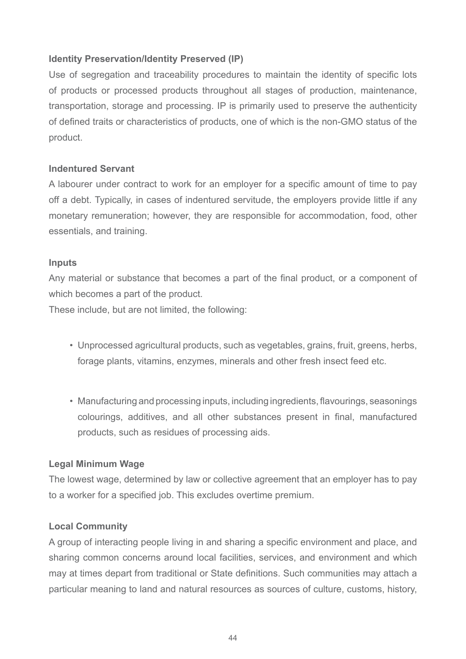#### **Identity Preservation/Identity Preserved (IP)**

Use of segregation and traceability procedures to maintain the identity of specific lots of products or processed products throughout all stages of production, maintenance, transportation, storage and processing. IP is primarily used to preserve the authenticity of defined traits or characteristics of products, one of which is the non-GMO status of the product.

#### **Indentured Servant**

A labourer under contract to work for an employer for a specific amount of time to pay off a debt. Typically, in cases of indentured servitude, the employers provide little if any monetary remuneration; however, they are responsible for accommodation, food, other essentials, and training.

#### **Inputs**

Any material or substance that becomes a part of the final product, or a component of which becomes a part of the product.

These include, but are not limited, the following:

- Unprocessed agricultural products, such as vegetables, grains, fruit, greens, herbs, forage plants, vitamins, enzymes, minerals and other fresh insect feed etc.
- Manufacturing and processing inputs, including ingredients, flavourings, seasonings colourings, additives, and all other substances present in final, manufactured products, such as residues of processing aids.

#### **Legal Minimum Wage**

The lowest wage, determined by law or collective agreement that an employer has to pay to a worker for a specified job. This excludes overtime premium.

#### **Local Community**

A group of interacting people living in and sharing a specific environment and place, and sharing common concerns around local facilities, services, and environment and which may at times depart from traditional or State definitions. Such communities may attach a particular meaning to land and natural resources as sources of culture, customs, history,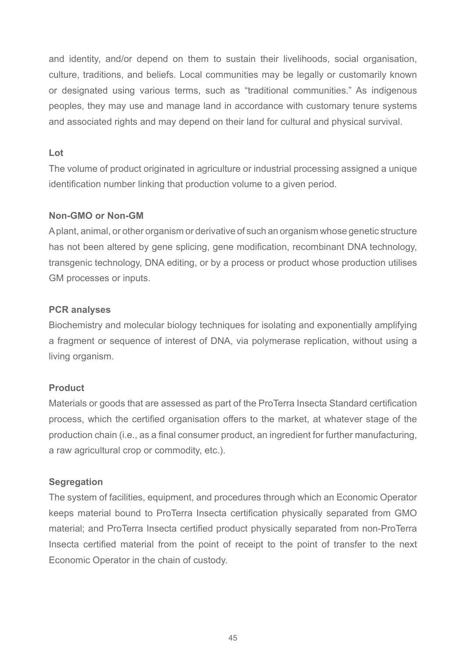and identity, and/or depend on them to sustain their livelihoods, social organisation, culture, traditions, and beliefs. Local communities may be legally or customarily known or designated using various terms, such as "traditional communities." As indigenous peoples, they may use and manage land in accordance with customary tenure systems and associated rights and may depend on their land for cultural and physical survival.

#### **Lot**

The volume of product originated in agriculture or industrial processing assigned a unique identification number linking that production volume to a given period.

#### **Non-GMO or Non-GM**

A plant, animal, or other organism or derivative of such an organism whose genetic structure has not been altered by gene splicing, gene modification, recombinant DNA technology, transgenic technology, DNA editing, or by a process or product whose production utilises GM processes or inputs.

#### **PCR analyses**

Biochemistry and molecular biology techniques for isolating and exponentially amplifying a fragment or sequence of interest of DNA, via polymerase replication, without using a living organism.

#### **Product**

Materials or goods that are assessed as part of the ProTerra Insecta Standard certification process, which the certified organisation offers to the market, at whatever stage of the production chain (i.e., as a final consumer product, an ingredient for further manufacturing, a raw agricultural crop or commodity, etc.).

#### **Segregation**

The system of facilities, equipment, and procedures through which an Economic Operator keeps material bound to ProTerra Insecta certification physically separated from GMO material; and ProTerra Insecta certified product physically separated from non-ProTerra Insecta certified material from the point of receipt to the point of transfer to the next Economic Operator in the chain of custody.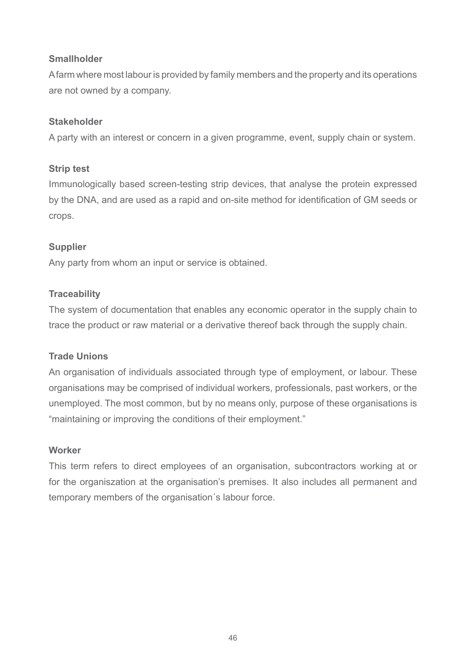#### **Smallholder**

A farm where most labour is provided by family members and the property and its operations are not owned by a company.

#### **Stakeholder**

A party with an interest or concern in a given programme, event, supply chain or system.

# **Strip test**

Immunologically based screen-testing strip devices, that analyse the protein expressed by the DNA, and are used as a rapid and on-site method for identification of GM seeds or crops.

# **Supplier**

Any party from whom an input or service is obtained.

# **Traceability**

The system of documentation that enables any economic operator in the supply chain to trace the product or raw material or a derivative thereof back through the supply chain.

#### **Trade Unions**

An organisation of individuals associated through type of employment, or labour. These organisations may be comprised of individual workers, professionals, past workers, or the unemployed. The most common, but by no means only, purpose of these organisations is "maintaining or improving the conditions of their employment."

#### **Worker**

This term refers to direct employees of an organisation, subcontractors working at or for the organiszation at the organisation's premises. It also includes all permanent and temporary members of the organisation´s labour force.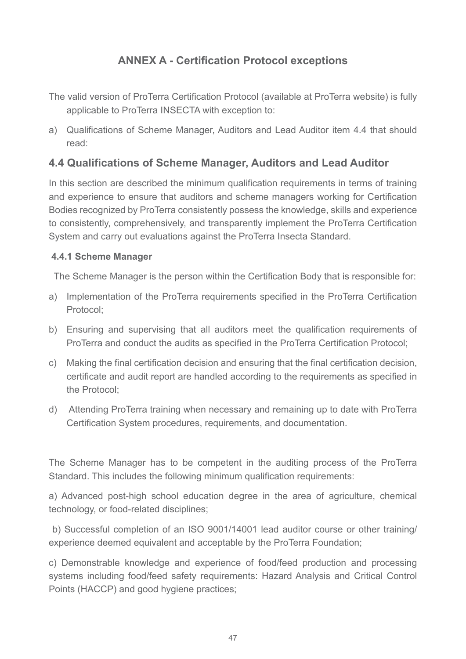# **ANNEX A - Certification Protocol exceptions**

- The valid version of ProTerra Certification Protocol (available at ProTerra website) is fully applicable to ProTerra INSECTA with exception to:
- a) Qualifications of Scheme Manager, Auditors and Lead Auditor item 4.4 that should read:

# **4.4 Qualifications of Scheme Manager, Auditors and Lead Auditor**

In this section are described the minimum qualification requirements in terms of training and experience to ensure that auditors and scheme managers working for Certification Bodies recognized by ProTerra consistently possess the knowledge, skills and experience to consistently, comprehensively, and transparently implement the ProTerra Certification System and carry out evaluations against the ProTerra Insecta Standard.

#### **4.4.1 Scheme Manager**

The Scheme Manager is the person within the Certification Body that is responsible for:

- a) Implementation of the ProTerra requirements specified in the ProTerra Certification Protocol;
- b) Ensuring and supervising that all auditors meet the qualification requirements of ProTerra and conduct the audits as specified in the ProTerra Certification Protocol;
- c) Making the final certification decision and ensuring that the final certification decision, certificate and audit report are handled according to the requirements as specified in the Protocol;
- d) Attending ProTerra training when necessary and remaining up to date with ProTerra Certification System procedures, requirements, and documentation.

The Scheme Manager has to be competent in the auditing process of the ProTerra Standard. This includes the following minimum qualification requirements:

a) Advanced post-high school education degree in the area of agriculture, chemical technology, or food-related disciplines;

 b) Successful completion of an ISO 9001/14001 lead auditor course or other training/ experience deemed equivalent and acceptable by the ProTerra Foundation;

c) Demonstrable knowledge and experience of food/feed production and processing systems including food/feed safety requirements: Hazard Analysis and Critical Control Points (HACCP) and good hygiene practices;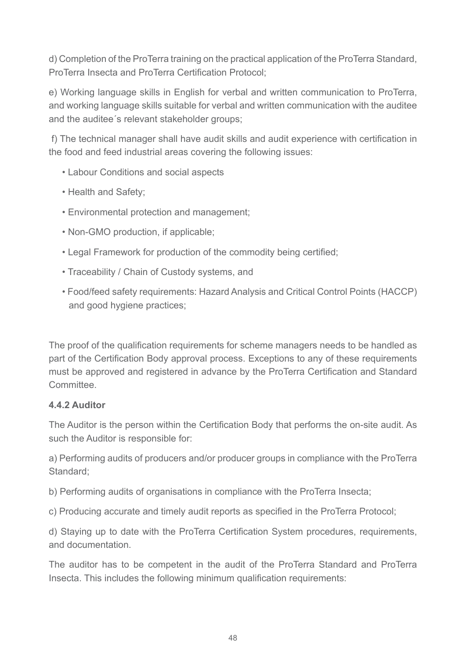d) Completion of the ProTerra training on the practical application of the ProTerra Standard, ProTerra Insecta and ProTerra Certification Protocol;

e) Working language skills in English for verbal and written communication to ProTerra, and working language skills suitable for verbal and written communication with the auditee and the auditee´s relevant stakeholder groups;

 f) The technical manager shall have audit skills and audit experience with certification in the food and feed industrial areas covering the following issues:

- Labour Conditions and social aspects
- Health and Safety;
- Environmental protection and management;
- Non-GMO production, if applicable;
- Legal Framework for production of the commodity being certified;
- Traceability / Chain of Custody systems, and
- Food/feed safety requirements: Hazard Analysis and Critical Control Points (HACCP) and good hygiene practices;

The proof of the qualification requirements for scheme managers needs to be handled as part of the Certification Body approval process. Exceptions to any of these requirements must be approved and registered in advance by the ProTerra Certification and Standard Committee.

#### **4.4.2 Auditor**

The Auditor is the person within the Certification Body that performs the on-site audit. As such the Auditor is responsible for:

a) Performing audits of producers and/or producer groups in compliance with the ProTerra Standard;

- b) Performing audits of organisations in compliance with the ProTerra Insecta;
- c) Producing accurate and timely audit reports as specified in the ProTerra Protocol;

d) Staying up to date with the ProTerra Certification System procedures, requirements, and documentation.

The auditor has to be competent in the audit of the ProTerra Standard and ProTerra Insecta. This includes the following minimum qualification requirements: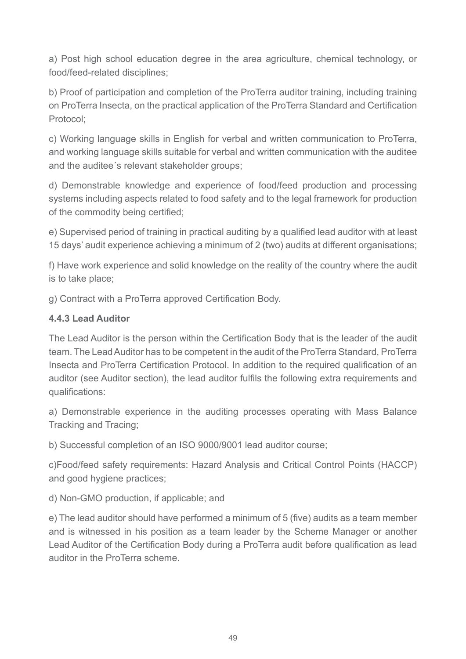a) Post high school education degree in the area agriculture, chemical technology, or food/feed-related disciplines;

b) Proof of participation and completion of the ProTerra auditor training, including training on ProTerra Insecta, on the practical application of the ProTerra Standard and Certification Protocol;

c) Working language skills in English for verbal and written communication to ProTerra, and working language skills suitable for verbal and written communication with the auditee and the auditee´s relevant stakeholder groups;

d) Demonstrable knowledge and experience of food/feed production and processing systems including aspects related to food safety and to the legal framework for production of the commodity being certified;

e) Supervised period of training in practical auditing by a qualified lead auditor with at least 15 days' audit experience achieving a minimum of 2 (two) audits at different organisations;

f) Have work experience and solid knowledge on the reality of the country where the audit is to take place;

g) Contract with a ProTerra approved Certification Body.

# **4.4.3 Lead Auditor**

The Lead Auditor is the person within the Certification Body that is the leader of the audit team. The Lead Auditor has to be competent in the audit of the ProTerra Standard, ProTerra Insecta and ProTerra Certification Protocol. In addition to the required qualification of an auditor (see Auditor section), the lead auditor fulfils the following extra requirements and qualifications:

a) Demonstrable experience in the auditing processes operating with Mass Balance Tracking and Tracing;

b) Successful completion of an ISO 9000/9001 lead auditor course;

c)Food/feed safety requirements: Hazard Analysis and Critical Control Points (HACCP) and good hygiene practices;

d) Non-GMO production, if applicable; and

e) The lead auditor should have performed a minimum of 5 (five) audits as a team member and is witnessed in his position as a team leader by the Scheme Manager or another Lead Auditor of the Certification Body during a ProTerra audit before qualification as lead auditor in the ProTerra scheme.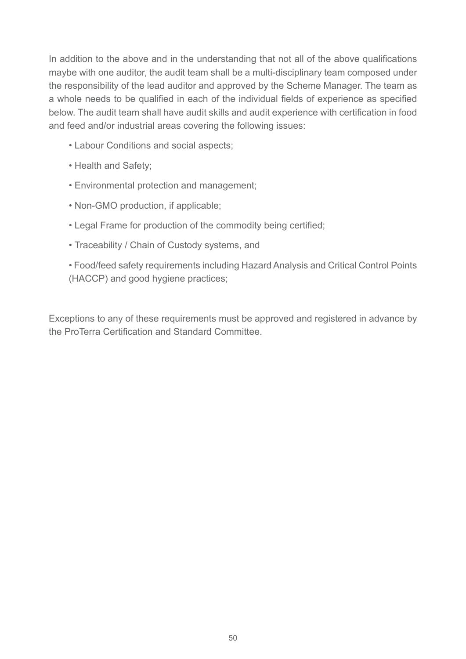In addition to the above and in the understanding that not all of the above qualifications maybe with one auditor, the audit team shall be a multi-disciplinary team composed under the responsibility of the lead auditor and approved by the Scheme Manager. The team as a whole needs to be qualified in each of the individual fields of experience as specified below. The audit team shall have audit skills and audit experience with certification in food and feed and/or industrial areas covering the following issues:

- Labour Conditions and social aspects;
- Health and Safety;
- Environmental protection and management;
- Non-GMO production, if applicable;
- Legal Frame for production of the commodity being certified;
- Traceability / Chain of Custody systems, and

• Food/feed safety requirements including Hazard Analysis and Critical Control Points (HACCP) and good hygiene practices;

Exceptions to any of these requirements must be approved and registered in advance by the ProTerra Certification and Standard Committee.